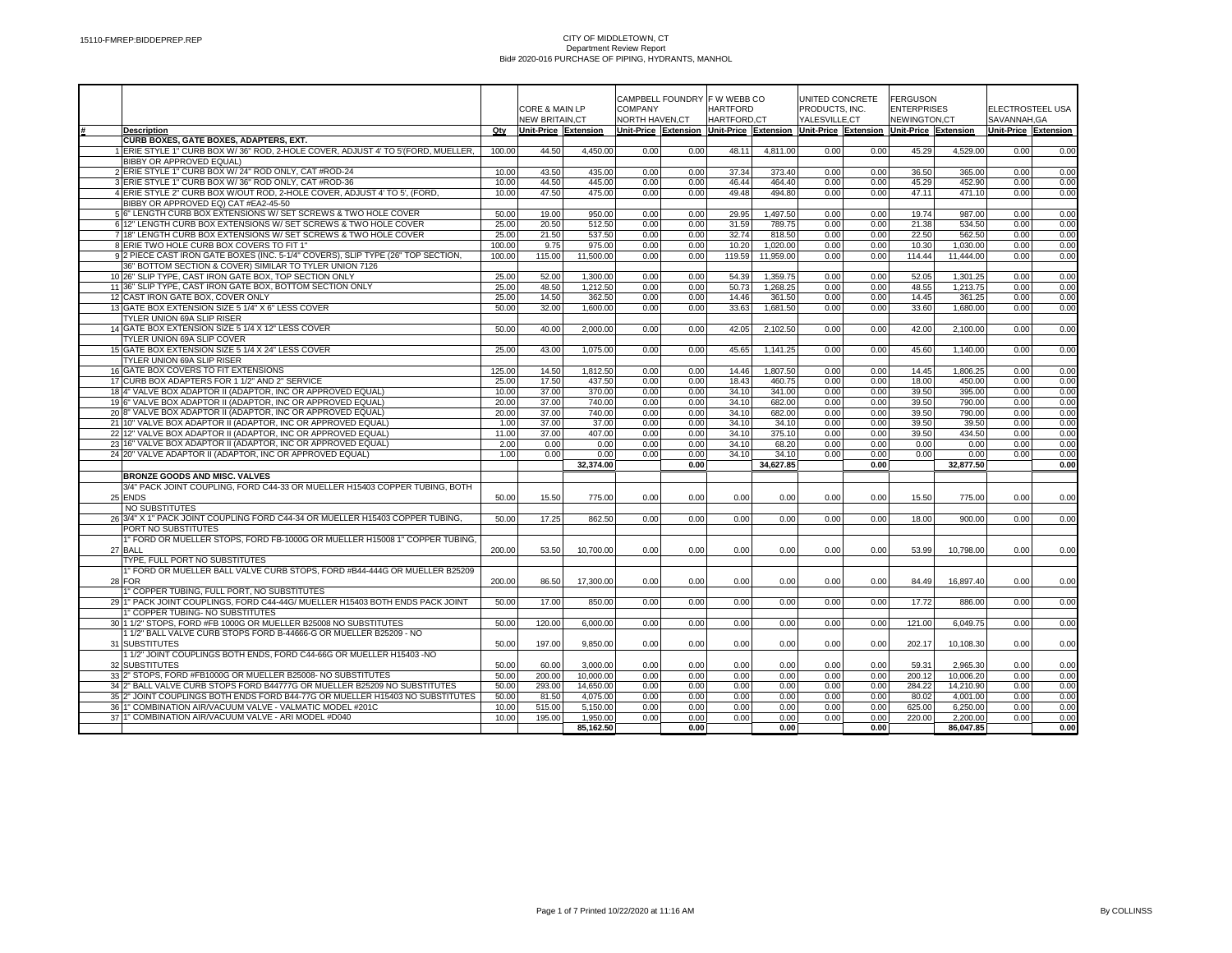|                                                                                                                     |                |                       | CORE & MAIN LP       |                 | CAMPBELL FOUNDRY F W WEBB CO<br><b>COMPANY</b> |                    | <b>HARTFORD</b>      |               | UNITED CONCRETE<br>PRODUCTS, INC. | <b>FERGUSON</b><br><b>ENTERPRISES</b>                                               |                      | ELECTROSTEEL USA     |              |
|---------------------------------------------------------------------------------------------------------------------|----------------|-----------------------|----------------------|-----------------|------------------------------------------------|--------------------|----------------------|---------------|-----------------------------------|-------------------------------------------------------------------------------------|----------------------|----------------------|--------------|
|                                                                                                                     |                | <b>NEW BRITAIN.CT</b> |                      | NORTH HAVEN, CT |                                                | <b>HARTFORD.CT</b> |                      | YALESVILLE.CT |                                   | NEWINGTON,CT                                                                        |                      | SAVANNAH.GA          |              |
| <b>Description</b>                                                                                                  | Qty            | Unit-Price Extension  |                      |                 |                                                |                    |                      |               |                                   | Unit-Price Extension Unit-Price Extension Unit-Price Extension Unit-Price Extension |                      | Unit-Price Extension |              |
| CURB BOXES, GATE BOXES, ADAPTERS, EXT.                                                                              |                |                       |                      |                 |                                                |                    |                      |               |                                   |                                                                                     |                      |                      |              |
| 1 ERIE STYLE 1" CURB BOX W/36" ROD, 2-HOLE COVER, ADJUST 4' TO 5'(FORD, MUELLER,                                    | 100.00         | 44.50                 | 4,450.00             | 0.00            | 0.00                                           | 48.11              | 4,811.00             | 0.00          | 0.00                              | 45.29                                                                               | 4,529.00             | 0.00                 | 0.00         |
| BIBBY OR APPROVED EQUAL)                                                                                            |                |                       |                      |                 |                                                |                    |                      |               |                                   |                                                                                     |                      |                      |              |
| 2 ERIE STYLE 1" CURB BOX W/ 24" ROD ONLY, CAT #ROD-24                                                               | 10.00          | 43.50                 | 435.00               | 0.00            | 0.00                                           | 37.34              | 373.40               | 0.00          | 0.00                              | 36.50                                                                               | 365.00               | 0.00                 | 0.00         |
| 3 ERIE STYLE 1" CURB BOX W/36" ROD ONLY, CAT #ROD-36                                                                | 10.00          | 44.50                 | 445.00               | 0.00            | 0.00                                           | 46.44              | 464.40               | 0.00          | 0.00                              | 45.29                                                                               | 452.90               | 0.00                 | 0.00         |
| 4 ERIE STYLE 2" CURB BOX W/OUT ROD, 2-HOLE COVER, ADJUST 4' TO 5', (FORD,                                           | 10.00          | 47.50                 | 475.00               | 0.00            | 0.00                                           | 49.48              | 494.80               | 0.00          | 0.00                              | 47.11                                                                               | 471.10               | 0.00                 | 0.00         |
| BIBBY OR APPROVED EQ) CAT #EA2-45-50                                                                                |                |                       |                      |                 |                                                |                    |                      |               |                                   |                                                                                     |                      |                      |              |
| 5 6" LENGTH CURB BOX EXTENSIONS W/ SET SCREWS & TWO HOLE COVER                                                      | 50.00          | 19.00                 | 950.00               | 0.00            | 0.00                                           | 29.95              | 1,497.50             | 0.00          | 0.00                              | 19.74                                                                               | 987.00               | 0.00                 | 0.00         |
| 6 12" LENGTH CURB BOX EXTENSIONS W/ SET SCREWS & TWO HOLE COVER                                                     | 25.00          | 20.50                 | 512.50               | 0.00            | 0.00                                           | 31.59              | 789.75               | 0.00          | 0.00                              | 21.38                                                                               | 534.50               | 0.00                 | 0.00         |
| 7 18" LENGTH CURB BOX EXTENSIONS W/ SET SCREWS & TWO HOLE COVER                                                     | 25.00          | 21.50                 | 537.50               | 0.00            | 0.00                                           | 32.74              | 818.50               | 0.00          | 0.00                              | 22.50                                                                               | 562.50               | 0.00                 | 0.00         |
| 8 ERIE TWO HOLE CURB BOX COVERS TO FIT 1                                                                            | 100.00         | 9.75                  | 975.00               | 0.00            | 0.00                                           | 10.20              | 1,020.00             | 0.00          | 0.00                              | 10.30                                                                               | 1.030.00             | 0.00                 | 0.00         |
| 9 2 PIECE CAST IRON GATE BOXES (INC. 5-1/4" COVERS), SLIP TYPE (26" TOP SECTION,                                    | 100.00         | 115.00                | 11,500.00            | 0.00            | 0.00                                           | 119.59             | 11,959.00            | 0.00          | 0.00                              | 114.44                                                                              | 11,444.00            | 0.00                 | 0.00         |
| 36" BOTTOM SECTION & COVER) SIMILAR TO TYLER UNION 7126                                                             |                |                       |                      |                 |                                                |                    |                      |               |                                   |                                                                                     |                      |                      |              |
| 10 26" SLIP TYPE, CAST IRON GATE BOX, TOP SECTION ONLY<br>11 36" SLIP TYPE, CAST IRON GATE BOX, BOTTOM SECTION ONLY | 25.00<br>25.00 | 52.00<br>48.50        | 1,300.00<br>1,212.50 | 0.00<br>0.00    | 0.00<br>0.00                                   | 54.39<br>50.73     | 1,359.75<br>1,268.25 | 0.00<br>0.00  | 0.00<br>0.00                      | 52.05<br>48.55                                                                      | 1,301.25<br>1,213.75 | 0.00<br>0.00         | 0.00<br>0.00 |
| 12 CAST IRON GATE BOX, COVER ONLY                                                                                   | 25.00          | 14.50                 | 362.50               | 0.00            | 0.00                                           | 14.46              | 361.50               | 0.00          | 0.00                              | 14.45                                                                               | 361.25               | 0.00                 | 0.00         |
| 13 GATE BOX EXTENSION SIZE 5 1/4" X 6" LESS COVER                                                                   | 50.00          | 32.00                 | 1,600.00             | 0.00            | 0.00                                           | 33.63              | 1,681.50             | 0.00          | 0.00                              | 33.60                                                                               | 1,680.00             | 0.00                 | 0.00         |
| TYLER UNION 69A SLIP RISER                                                                                          |                |                       |                      |                 |                                                |                    |                      |               |                                   |                                                                                     |                      |                      |              |
| 14 GATE BOX EXTENSION SIZE 5 1/4 X 12" LESS COVER                                                                   | 50.00          | 40.00                 | 2,000.00             | 0.00            | 0.00                                           | 42.05              | 2,102.50             | 0.00          | 0.00                              | 42.00                                                                               | 2,100.00             | 0.00                 | 0.00         |
| TYLER UNION 69A SLIP COVER                                                                                          |                |                       |                      |                 |                                                |                    |                      |               |                                   |                                                                                     |                      |                      |              |
| 15 GATE BOX EXTENSION SIZE 5 1/4 X 24" LESS COVER                                                                   | 25.00          | 43.00                 | 1,075.00             | 0.00            | 0.00                                           | 45.65              | 1,141.25             | 0.00          | 0.00                              | 45.60                                                                               | 1,140.00             | 0.00                 | 0.00         |
| TYLER UNION 69A SLIP RISER                                                                                          |                |                       |                      |                 |                                                |                    |                      |               |                                   |                                                                                     |                      |                      |              |
| 16 GATE BOX COVERS TO FIT EXTENSIONS                                                                                | 125.00         | 14.50                 | 1,812.50             | 0.00            | 0.00                                           | 14.46              | 1,807.50             | 0.00          | 0.00                              | 14.45                                                                               | 1,806.25             | 0.00                 | 0.00         |
| 17 CURB BOX ADAPTERS FOR 1 1/2" AND 2" SERVICE                                                                      | 25.00          | 17.50                 | 437.50               | 0.00            | 0.00                                           | 18.43              | 460.75               | 0.00          | 0.00                              | 18.00                                                                               | 450.00               | 0.00                 | 0.00         |
| 184" VALVE BOX ADAPTOR II (ADAPTOR, INC OR APPROVED EQUAL)                                                          | 10.00          | 37.00                 | 370.00               | 0.00            | 0.00                                           | 34.10              | 341.00               | 0.00          | 0.00                              | 39.50                                                                               | 395.00               | 0.00                 | 0.00         |
| 19 6" VALVE BOX ADAPTOR II (ADAPTOR, INC OR APPROVED EQUAL)                                                         | 20.00          | 37.00                 | 740.00               | 0.00            | 0.00                                           | 34.10              | 682.00               | 0.00          | 0.00                              | 39.50                                                                               | 790.00               | 0.00                 | 0.00         |
| 20 8" VALVE BOX ADAPTOR II (ADAPTOR, INC OR APPROVED EQUAL)                                                         | 20.00          | 37.00                 | 740.00               | 0.00            | 0.00                                           | 34.10              | 682.00               | 0.00          | 0.00                              | 39.50                                                                               | 790.00               | 0.00                 | 0.00         |
| 21 10" VALVE BOX ADAPTOR II (ADAPTOR, INC OR APPROVED EQUAL)                                                        | 1.00           | 37.00                 | 37.00                | 0.00            | 0.00                                           | 34.10              | 34.10                | 0.00          | 0.00                              | 39.50                                                                               | 39.50                | 0.00                 | 0.00         |
| 22 12" VALVE BOX ADAPTOR II (ADAPTOR, INC OR APPROVED EQUAL)                                                        | 11.00          | 37.00                 | 407.00               | 0.00            | 0.00                                           | 34.10              | 375.10               | 0.00          | 0.00                              | 39.50                                                                               | 434.50               | 0.00                 | 0.00         |
| 23 16" VALVE BOX ADAPTOR II (ADAPTOR, INC OR APPROVED EQUAL)                                                        | 2.00           | 0.00                  | 0.00                 | 0.00            | 0.00                                           | 34.10              | 68.20                | 0.00          | 0.00                              | 0.00                                                                                | 0.00                 | 0.00                 | 0.00         |
| 24 20" VALVE ADAPTOR II (ADAPTOR, INC OR APPROVED EQUAL)                                                            | 1.00           | 0.00                  | 0.00                 | 0.00            | 0.00                                           | 34.10              | 34.10                | 0.00          | 0.00                              | 0.00                                                                                | 0.00                 | 0.00                 | 0.00         |
|                                                                                                                     |                |                       | 32,374.00            |                 | 0.00                                           |                    | 34,627.85            |               | 0.00                              |                                                                                     | 32,877.50            |                      | 0.00         |
| <b>BRONZE GOODS AND MISC. VALVES</b>                                                                                |                |                       |                      |                 |                                                |                    |                      |               |                                   |                                                                                     |                      |                      |              |
| 3/4" PACK JOINT COUPLING, FORD C44-33 OR MUELLER H15403 COPPER TUBING, BOTH                                         |                |                       |                      |                 |                                                |                    |                      |               |                                   |                                                                                     |                      |                      |              |
| 25 ENDS                                                                                                             | 50.00          | 15.50                 | 775.00               | 0.00            | 0.00                                           | 0.00               | 0.00                 | 0.00          | 0.00                              | 15.50                                                                               | 775.00               | 0.00                 | 0.00         |
| NO SUBSTITUTES                                                                                                      |                |                       |                      |                 |                                                |                    |                      |               |                                   |                                                                                     |                      |                      |              |
| 26 3/4" X 1" PACK JOINT COUPLING FORD C44-34 OR MUELLER H15403 COPPER TUBING.                                       | 50.00          | 17.25                 | 862.50               | 0.00            | 0.00                                           | 0.00               | 0.00                 | 0.00          | 0.00                              | 18.00                                                                               | 900.00               | 0.00                 | 0.00         |
| PORT NO SUBSTITUTES                                                                                                 |                |                       |                      |                 |                                                |                    |                      |               |                                   |                                                                                     |                      |                      |              |
| 1" FORD OR MUELLER STOPS, FORD FB-1000G OR MUELLER H15008 1" COPPER TUBING,                                         |                |                       |                      |                 |                                                |                    |                      |               |                                   |                                                                                     |                      |                      |              |
| 27 BALL                                                                                                             | 200.00         | 53.50                 | 10,700.00            | 0.00            | 0.00                                           | 0.00               | 0.00                 | 0.00          | 0.00                              | 53.99                                                                               | 10,798.00            | 0.00                 | 0.00         |
| TYPE, FULL PORT NO SUBSTITUTES                                                                                      |                |                       |                      |                 |                                                |                    |                      |               |                                   |                                                                                     |                      |                      |              |
| 1" FORD OR MUELLER BALL VALVE CURB STOPS, FORD #B44-444G OR MUELLER B25209                                          |                |                       |                      |                 |                                                |                    |                      |               |                                   |                                                                                     |                      |                      |              |
| 28 FOR<br>1" COPPER TUBING, FULL PORT, NO SUBSTITUTES                                                               | 200.00         | 86.50                 | 17,300.00            | 0.00            | 0.00                                           | 0.00               | 0.00                 | 0.00          | 0.00                              | 84.49                                                                               | 16,897.40            | 0.00                 | 0.00         |
| 29 1" PACK JOINT COUPLINGS, FORD C44-44G/ MUELLER H15403 BOTH ENDS PACK JOINT                                       | 50.00          | 17.00                 | 850.00               | 0.00            | 0.00                                           | 0.00               | 0.00                 | 0.00          | 0.00                              | 17.72                                                                               | 886.00               | 0.00                 | 0.00         |
| 1" COPPER TUBING- NO SUBSTITUTES                                                                                    |                |                       |                      |                 |                                                |                    |                      |               |                                   |                                                                                     |                      |                      |              |
| 30 1 1/2" STOPS, FORD #FB 1000G OR MUELLER B25008 NO SUBSTITUTES                                                    | 50.00          | 120.00                | 6,000.00             | 0.00            | 0.00                                           | 0.00               | 0.00                 | 0.00          | 0.00                              | 121.00                                                                              | 6,049.75             | 0.00                 | 0.00         |
| 1 1/2" BALL VALVE CURB STOPS FORD B-44666-G OR MUELLER B25209 - NO                                                  |                |                       |                      |                 |                                                |                    |                      |               |                                   |                                                                                     |                      |                      |              |
| 31 SUBSTITUTES                                                                                                      | 50.00          | 197.00                | 9,850.00             | 0.00            | 0.00                                           | 0.00               | 0.00                 | 0.00          | 0.00                              | 202.17                                                                              | 10,108.30            | 0.00                 | 0.00         |
| 11/2" JOINT COUPLINGS BOTH ENDS, FORD C44-66G OR MUELLER H15403 -NO                                                 |                |                       |                      |                 |                                                |                    |                      |               |                                   |                                                                                     |                      |                      |              |
| 32 SUBSTITUTES                                                                                                      | 50.00          | 60.00                 | 3,000.00             | 0.00            | 0.00                                           | 0.00               | 0.00                 | 0.00          | 0.00                              | 59.31                                                                               | 2,965.30             | 0.00                 | 0.00         |
| 33 2" STOPS, FORD #FB1000G OR MUELLER B25008- NO SUBSTITUTES                                                        | 50.00          | 200.00                | 10.000.00            | 0.00            | 0.00                                           | 0.00               | 0.00                 | 0.00          | 0.00                              | 200.12                                                                              | 10.006.20            | 0.00                 | 0.00         |
| 34 2" BALL VALVE CURB STOPS FORD B44777G OR MUELLER B25209 NO SUBSTITUTES                                           | 50.00          | 293.00                | 14,650.00            | 0.00            | 0.00                                           | 0.00               | 0.00                 | 0.00          | 0.00                              | 284.22                                                                              | 14,210.90            | 0.00                 | 0.00         |
| 35 2" JOINT COUPLINGS BOTH ENDS FORD B44-77G OR MUELLER H15403 NO SUBSTITUTES                                       | 50.00          | 81.50                 | 4,075.00             | 0.00            | 0.00                                           | 0.00               | 0.00                 | 0.00          | 0.00                              | 80.02                                                                               | 4,001.00             | 0.00                 | 0.00         |
| 36 1" COMBINATION AIR/VACUUM VALVE - VALMATIC MODEL #201C                                                           | 10.00          | 515.00                | 5,150.00             | 0.00            | 0.00                                           | 0.00               | 0.00                 | 0.00          | 0.00                              | 625.00                                                                              | 6,250.00             | 0.00                 | 0.00         |
| 3711" COMBINATION AIR/VACUUM VALVE - ARI MODEL #D040                                                                | 10.00          | 195.00                | 1,950.00             | 0.00            | 0.00                                           | 0.00               | 0.00                 | 0.00          | 0.00                              | 220.00                                                                              | 2.200.00             | 0.00                 | 0.00         |
|                                                                                                                     |                |                       | 85,162.50            |                 | 0.00                                           |                    | 0.00                 |               | 0.00                              |                                                                                     | 86,047.85            |                      | 0.00         |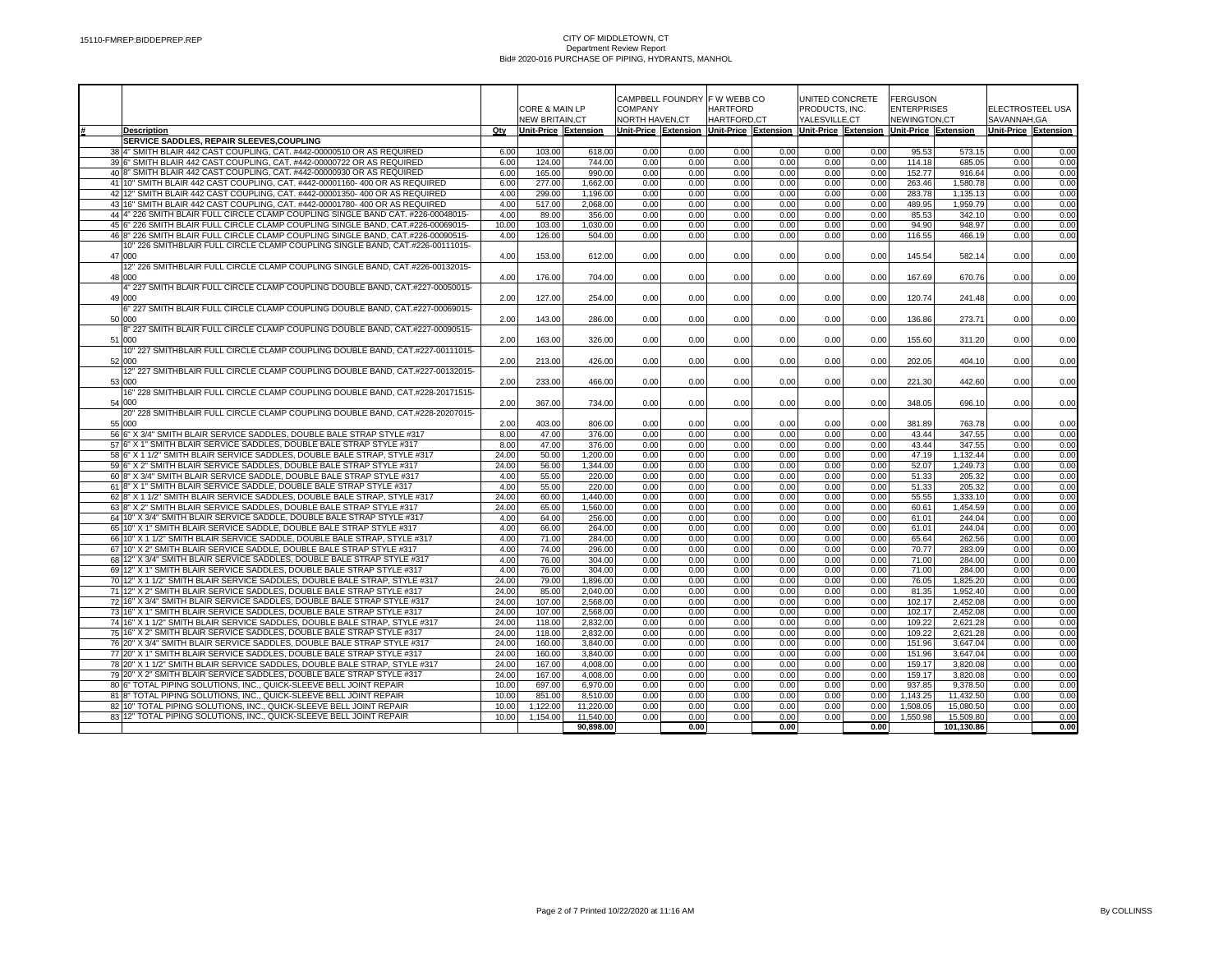|                                                                                                                                                   |              |                       |                  |                |              | CAMPBELL FOUNDRY F W WEBB CO |              | UNITED CONCRETE |              | <b>FERGUSON</b>                                                                                     |                  |                                 |              |  |
|---------------------------------------------------------------------------------------------------------------------------------------------------|--------------|-----------------------|------------------|----------------|--------------|------------------------------|--------------|-----------------|--------------|-----------------------------------------------------------------------------------------------------|------------------|---------------------------------|--------------|--|
|                                                                                                                                                   |              | CORE & MAIN LP        |                  | <b>COMPANY</b> |              | <b>HARTFORD</b>              |              | PRODUCTS, INC.  |              | <b>ENTERPRISES</b>                                                                                  |                  | ELECTROSTEEL USA<br>SAVANNAH.GA |              |  |
|                                                                                                                                                   |              | <b>NEW BRITAIN.CT</b> |                  | NORTH HAVEN.CT |              | <b>HARTFORD.CT</b>           |              | YALESVILLE.CT   |              | NEWINGTON.CT<br>Unit-Price Extension Unit-Price Extension Unit-Price Extension Unit-Price Extension |                  |                                 |              |  |
| <b>Description</b><br>SERVICE SADDLES, REPAIR SLEEVES, COUPLING                                                                                   | Qty          | Unit-Price Extension  |                  |                |              |                              |              |                 |              |                                                                                                     |                  | Unit-Price Extension            |              |  |
| 38 4" SMITH BLAIR 442 CAST COUPLING, CAT. #442-00000510 OR AS REQUIRED                                                                            | 6.00         | 103.00                | 618.00           | 0.00           | 0.00         | 0.00                         | 0.00         | 0.00            | 0.00         | 95.53                                                                                               | 573.15           | 0.00                            | 0.00         |  |
| 39 6" SMITH BLAIR 442 CAST COUPLING, CAT. #442-00000722 OR AS REQUIRED                                                                            | 6.00         | 124.00                | 744.00           | 0.00           | 0.00         | 0.00                         | 0.00         | 0.00            | 0.00         | 114.18                                                                                              | 685.05           | 0.00                            | 0.00         |  |
| 40 8" SMITH BLAIR 442 CAST COUPLING, CAT. #442-00000930 OR AS REQUIRED                                                                            | 6.00         | 165.00                | 990.00           | 0.00           | 0.00         | 0.00                         | 0.00         | 0.00            | 0.00         | 152.77                                                                                              | 916.64           | 0.00                            | 0.00         |  |
| 41 10" SMITH BLAIR 442 CAST COUPLING, CAT. #442-00001160- 400 OR AS REQUIRED                                                                      | 6.00         | 277.00                | 1.662.00         | 0.00           | 0.00         | 0.00                         | 0.00         | 0.00            | 0.00         | 263.46                                                                                              | 1,580.78         | 0.00                            | 0.00         |  |
| 42 12" SMITH BLAIR 442 CAST COUPLING, CAT. #442-00001350- 400 OR AS REQUIRED                                                                      | 4.00         | 299.00                | 1,196.00         | 0.00           | 0.00         | 0.00                         | 0.00         | 0.00            | 0.00         | 283.78                                                                                              | 1,135.13         | 0.00                            | 0.00         |  |
| 43 16" SMITH BLAIR 442 CAST COUPLING, CAT. #442-00001780- 400 OR AS REQUIRED                                                                      | 4.00         | 517.00                | 2,068.00         | 0.00           | 0.00         | 0.00                         | 0.00         | 0.00            | 0.00         | 489.95                                                                                              | 1,959.79         | 0.00                            | 0.00         |  |
| 44 4" 226 SMITH BLAIR FULL CIRCLE CLAMP COUPLING SINGLE BAND CAT. #226-00048015-                                                                  | 4.00         | 89.00                 | 356.00           | 0.00           | 0.00         | 0.00                         | 0.00         | 0.00            | 0.00         | 85.53                                                                                               | 342.10           | 0.00                            | 0.00         |  |
| 45 6" 226 SMITH BLAIR FULL CIRCLE CLAMP COUPLING SINGLE BAND, CAT.#226-00069015-                                                                  | 10.00        | 103.00                | 1.030.00         | 0.00           | 0.00         | 0.00                         | 0.00         | 0.00            | 0.00         | 94.90                                                                                               | 948.97           | 0.00                            | 0.00         |  |
| 46 8" 226 SMITH BLAIR FULL CIRCLE CLAMP COUPLING SINGLE BAND, CAT.#226-00090515-                                                                  | 4.00         | 126.00                | 504.00           | 0.00           | 0.00         | 0.00                         | 0.00         | 0.00            | 0.00         | 116.55                                                                                              | 466.19           | 0.00                            | 0.00         |  |
| 10" 226 SMITHBLAIR FULL CIRCLE CLAMP COUPLING SINGLE BAND, CAT.#226-00111015-                                                                     |              |                       |                  |                |              |                              |              |                 |              |                                                                                                     |                  |                                 |              |  |
| 47 000                                                                                                                                            | 4.00         | 153.00                | 612.00           | 0.00           | 0.00         | 0.00                         | 0.00         | 0.00            | 0.00         | 145.54                                                                                              | 582.14           | 0.00                            | 0.00         |  |
| 12" 226 SMITHBLAIR FULL CIRCLE CLAMP COUPLING SINGLE BAND, CAT.#226-00132015-                                                                     |              |                       |                  |                |              |                              |              |                 |              |                                                                                                     |                  |                                 |              |  |
| 48 000                                                                                                                                            | 4.00         | 176.00                | 704.00           | 0.00           | 0.00         | 0.00                         | 0.00         | 0.00            | 0.00         | 167.69                                                                                              | 670.76           | 0.00                            | 0.00         |  |
| 4" 227 SMITH BLAIR FULL CIRCLE CLAMP COUPLING DOUBLE BAND, CAT.#227-00050015-                                                                     |              |                       |                  |                |              |                              |              |                 |              |                                                                                                     |                  |                                 |              |  |
| 49 000                                                                                                                                            | 2.00         | 127.00                | 254.00           | 0.00           | 0.00         | 0.00                         | 0.00         | 0.00            | 0.00         | 120.74                                                                                              | 241.48           | 0.00                            | 0.00         |  |
| 6" 227 SMITH BLAIR FULL CIRCLE CLAMP COUPLING DOUBLE BAND, CAT.#227-00069015-                                                                     |              |                       |                  |                |              |                              |              |                 |              |                                                                                                     |                  |                                 |              |  |
| 50 000<br>8" 227 SMITH BLAIR FULL CIRCLE CLAMP COUPLING DOUBLE BAND, CAT.#227-00090515-                                                           | 2.00         | 143.00                | 286.00           | 0.00           | 0.00         | 0.00                         | 0.00         | 0.00            | 0.00         | 136.86                                                                                              | 273.71           | 0.00                            | 0.00         |  |
| 51 000                                                                                                                                            | 2.00         | 163.00                | 326.00           | 0.00           | 0.00         | 0.00                         | 0.00         | 0.00            | 0.00         | 155.60                                                                                              | 311.20           | 0.00                            | 0.00         |  |
| 10" 227 SMITHBLAIR FULL CIRCLE CLAMP COUPLING DOUBLE BAND, CAT.#227-00111015-                                                                     |              |                       |                  |                |              |                              |              |                 |              |                                                                                                     |                  |                                 |              |  |
| 52 000                                                                                                                                            | 2.00         | 213.00                | 426.00           | 0.00           | 0.00         | 0.00                         | 0.00         | 0.00            | 0.00         | 202.05                                                                                              | 404.10           | 0.00                            | 0.00         |  |
| 12" 227 SMITHBLAIR FULL CIRCLE CLAMP COUPLING DOUBLE BAND, CAT.#227-00132015-                                                                     |              |                       |                  |                |              |                              |              |                 |              |                                                                                                     |                  |                                 |              |  |
| 53 000                                                                                                                                            | 2.00         | 233.00                | 466.00           | 0.00           | 0.00         | 0.00                         | 0.00         | 0.00            | 0.00         | 221.30                                                                                              | 442.60           | 0.00                            | 0.00         |  |
| 16" 228 SMITHBLAIR FULL CIRCLE CLAMP COUPLING DOUBLE BAND, CAT.#228-20171515-                                                                     |              |                       |                  |                |              |                              |              |                 |              |                                                                                                     |                  |                                 |              |  |
| 54 000                                                                                                                                            | 2.00         | 367.00                | 734.00           | 0.00           | 0.00         | 0.00                         | 0.00         | 0.00            | 0.00         | 348.05                                                                                              | 696.10           | 0.00                            | 0.00         |  |
| 20" 228 SMITHBLAIR FULL CIRCLE CLAMP COUPLING DOUBLE BAND. CAT.#228-20207015-                                                                     |              |                       |                  |                |              |                              |              |                 |              |                                                                                                     |                  |                                 |              |  |
| 55 000                                                                                                                                            | 2.00         | 403.00                | 806.00           | 0.00           | 0.00         | 0.00                         | 0.00         | 0.00            | 0.00         | 381.89                                                                                              | 763.78           | 0.00                            | 0.00         |  |
| 56 6" X 3/4" SMITH BLAIR SERVICE SADDLES, DOUBLE BALE STRAP STYLE #317                                                                            | 8.00         | 47.00                 | 376.00           | 0.00           | 0.00         | 0.00                         | 0.00         | 0.00            | 0.00         | 43.44                                                                                               | 347.55           | 0.00                            | 0.00         |  |
| 57 6" X 1" SMITH BLAIR SERVICE SADDLES, DOUBLE BALE STRAP STYLE #317                                                                              | 8.00         | 47.00                 | 376.00           | 0.00           | 0.00         | 0.00                         | 0.00         | 0.00            | 0.00         | 43.44                                                                                               | 347.55           | 0.00                            | 0.00         |  |
| 58 6" X 1 1/2" SMITH BLAIR SERVICE SADDLES, DOUBLE BALE STRAP, STYLE #317                                                                         | 24.00        | 50.00                 | 1,200.00         | 0.00           | 0.00         | 0.00                         | 0.00         | 0.00            | 0.00         | 47.19                                                                                               | 1,132.44         | 0.00                            | 0.00         |  |
| 59 6" X 2" SMITH BLAIR SERVICE SADDLES, DOUBLE BALE STRAP STYLE #317                                                                              | 24.00        | 56.00                 | 1.344.00         | 0.00           | 0.00         | 0.00                         | 0.00         | 0.00            | 0.00         | 52.07                                                                                               | 1,249.73         | 0.00                            | 0.00         |  |
| 60 8" X 3/4" SMITH BLAIR SERVICE SADDLE, DOUBLE BALE STRAP STYLE #317                                                                             | 4.00         | 55.00                 | 220.00           | 0.00           | 0.00         | 0.00                         | 0.00         | 0.00            | 0.00         | 51.33                                                                                               | 205.32           | 0.00                            | 0.00         |  |
| 61 8" X 1" SMITH BLAIR SERVICE SADDLE, DOUBLE BALE STRAP STYLE #317                                                                               | 4.00         | 55.00                 | 220.00           | 0.00           | 0.00         | 0.00                         | 0.00         | 0.00            | 0.00         | 51.33                                                                                               | 205.32           | 0.00                            | 0.00         |  |
| 62 8" X 1 1/2" SMITH BLAIR SERVICE SADDLES, DOUBLE BALE STRAP, STYLE #317                                                                         | 24.00        | 60.00                 | 1,440.00         | 0.00           | 0.00         | 0.00                         | 0.00         | 0.00            | 0.00         | 55.55                                                                                               | 1,333.10         | 0.00                            | 0.00         |  |
| 63 8" X 2" SMITH BLAIR SERVICE SADDLES, DOUBLE BALE STRAP STYLE #317                                                                              | 24.00        | 65.00                 | 1,560.00         | 0.00           | 0.00         | 0.00                         | 0.00         | 0.00            | 0.00         | 60.61                                                                                               | 1,454.59         | 0.00                            | 0.00         |  |
| 64 10" X 3/4" SMITH BLAIR SERVICE SADDLE, DOUBLE BALE STRAP STYLE #317                                                                            | 4.00         | 64.00                 | 256.00           | 0.00           | 0.00         | 0.00                         | 0.00         | 0.00            | 0.00         | 61.01                                                                                               | 244.04           | 0.00                            | 0.00         |  |
| 65 10" X 1" SMITH BLAIR SERVICE SADDLE, DOUBLE BALE STRAP STYLE #317<br>66 10" X 1 1/2" SMITH BLAIR SERVICE SADDLE, DOUBLE BALE STRAP, STYLE #317 | 4.00<br>4.00 | 66.00<br>71.00        | 264.00<br>284.00 | 0.00<br>0.00   | 0.00<br>0.00 | 0.00<br>0.00                 | 0.00<br>0.00 | 0.00<br>0.00    | 0.00<br>0.00 | 61.01<br>65.64                                                                                      | 244.04           | 0.00<br>0.00                    | 0.00<br>0.00 |  |
| 67 10" X 2" SMITH BLAIR SERVICE SADDLE, DOUBLE BALE STRAP STYLE #317                                                                              | 4.00         | 74.00                 | 296.00           | 0.00           | 0.00         | 0.00                         | 0.00         | 0.00            | 0.00         | 70.77                                                                                               | 262.56<br>283.09 | 0.00                            | 0.00         |  |
| 68 12" X 3/4" SMITH BLAIR SERVICE SADDLES, DOUBLE BALE STRAP STYLE #317                                                                           | 4.00         | 76.00                 | 304.00           | 0.00           | 0.00         | 0.00                         | 0.00         | 0.00            | 0.00         | 71.00                                                                                               | 284.00           | 0.00                            | 0.00         |  |
| 69 12" X 1" SMITH BLAIR SERVICE SADDLES, DOUBLE BALE STRAP STYLE #317                                                                             | 4.00         | 76.00                 | 304.00           | 0.00           | 0.00         | 0.00                         | 0.00         | 0.00            | 0.00         | 71.00                                                                                               | 284.00           | 0.00                            | 0.00         |  |
| 70 12" X 1 1/2" SMITH BLAIR SERVICE SADDLES, DOUBLE BALE STRAP, STYLE #317                                                                        | 24.00        | 79.00                 | 1,896.00         | 0.00           | 0.00         | 0.00                         | 0.00         | 0.00            | 0.00         | 76.05                                                                                               | 1,825.20         | 0.00                            | 0.00         |  |
| 71 12" X 2" SMITH BLAIR SERVICE SADDLES, DOUBLE BALE STRAP STYLE #317                                                                             | 24.00        | 85.00                 | 2.040.00         | 0.00           | 0.00         | 0.00                         | 0.00         | 0.00            | 0.00         | 81.35                                                                                               | 1.952.40         | 0.00                            | 0.00         |  |
| 72 16" X 3/4" SMITH BLAIR SERVICE SADDLES, DOUBLE BALE STRAP STYLE #317                                                                           | 24.00        | 107.00                | 2,568.00         | 0.00           | 0.00         | 0.00                         | 0.00         | 0.00            | 0.00         | 102.17                                                                                              | 2,452.08         | 0.00                            | 0.00         |  |
| 73 16" X 1" SMITH BLAIR SERVICE SADDLES, DOUBLE BALE STRAP STYLE #317                                                                             | 24.00        | 107.00                | 2.568.00         | 0.00           | 0.00         | 0.00                         | 0.00         | 0.00            | 0.00         | 102.17                                                                                              | 2.452.08         | 0.00                            | 0.00         |  |
| 74 16" X 1 1/2" SMITH BLAIR SERVICE SADDLES, DOUBLE BALE STRAP, STYLE #317                                                                        | 24.00        | 118.00                | 2,832.00         | 0.00           | 0.00         | 0.00                         | 0.00         | 0.00            | 0.00         | 109.22                                                                                              | 2,621.28         | 0.00                            | 0.00         |  |
| 75 16" X 2" SMITH BLAIR SERVICE SADDLES, DOUBLE BALE STRAP STYLE #317                                                                             | 24.00        | 118.00                | 2,832.00         | 0.00           | 0.00         | 0.00                         | 0.00         | 0.00            | 0.00         | 109.22                                                                                              | 2,621.28         | 0.00                            | 0.00         |  |
| 76 20" X 3/4" SMITH BLAIR SERVICE SADDLES, DOUBLE BALE STRAP STYLE #317                                                                           | 24.00        | 160.00                | 3,840.00         | 0.00           | 0.00         | 0.00                         | 0.00         | 0.00            | 0.00         | 151.96                                                                                              | 3,647.04         | 0.00                            | 0.00         |  |
| 77 20" X 1" SMITH BLAIR SERVICE SADDLES, DOUBLE BALE STRAP STYLE #317                                                                             | 24.00        | 160.00                | 3.840.00         | 0.00           | 0.00         | 0.00                         | 0.00         | 0.00            | 0.00         | 151.96                                                                                              | 3.647.04         | 0.00                            | 0.00         |  |
| 78 20" X 1 1/2" SMITH BLAIR SERVICE SADDLES, DOUBLE BALE STRAP, STYLE #317                                                                        | 24.00        | 167.00                | 4.008.00         | 0.00           | 0.00         | 0.00                         | 0.00         | 0.00            | 0.00         | 159.17                                                                                              | 3,820.08         | 0.00                            | 0.00         |  |
| 79 20" X 2" SMITH BLAIR SERVICE SADDLES, DOUBLE BALE STRAP STYLE #317                                                                             | 24.00        | 167.00                | 4,008.00         | 0.00           | 0.00         | 0.00                         | 0.00         | 0.00            | 0.00         | 159.17                                                                                              | 3,820.08         | 0.00                            | 0.00         |  |
| 80 6" TOTAL PIPING SOLUTIONS, INC., QUICK-SLEEVE BELL JOINT REPAIR                                                                                | 10.00        | 697.00                | 6,970.00         | 0.00           | 0.00         | 0.00                         | 0.00         | 0.00            | 0.00         | 937.85                                                                                              | 9,378.50         | 0.00                            | 0.00         |  |
| 81 8" TOTAL PIPING SOLUTIONS, INC., QUICK-SLEEVE BELL JOINT REPAIR                                                                                | 10.00        | 851.00                | 8,510.00         | 0.00           | 0.00         | 0.00                         | 0.00         | 0.00            | 0.00         | 1,143.25                                                                                            | 11,432.50        | 0.00                            | 0.00         |  |
| 82 10" TOTAL PIPING SOLUTIONS, INC., QUICK-SLEEVE BELL JOINT REPAIR                                                                               | 10.00        | 1,122.00              | 11,220.00        | 0.00           | 0.00         | 0.00                         | 0.00         | 0.00            | 0.00         | 1,508.05                                                                                            | 15,080.50        | 0.00                            | 0.00         |  |
| 83 12" TOTAL PIPING SOLUTIONS, INC., QUICK-SLEEVE BELL JOINT REPAIR                                                                               | 10.00        | 1.154.00              | 11.540.00        | 0.00           | 0.00         | 0.00                         | 0.00<br>0.00 | 0.00            | 0.00         | 1.550.98                                                                                            | 15,509.80        | 0.00                            | 0.00         |  |
|                                                                                                                                                   |              |                       | 90,898.00        |                | 0.00         |                              |              |                 | 0.00         |                                                                                                     | 101,130.86       |                                 | 0.00         |  |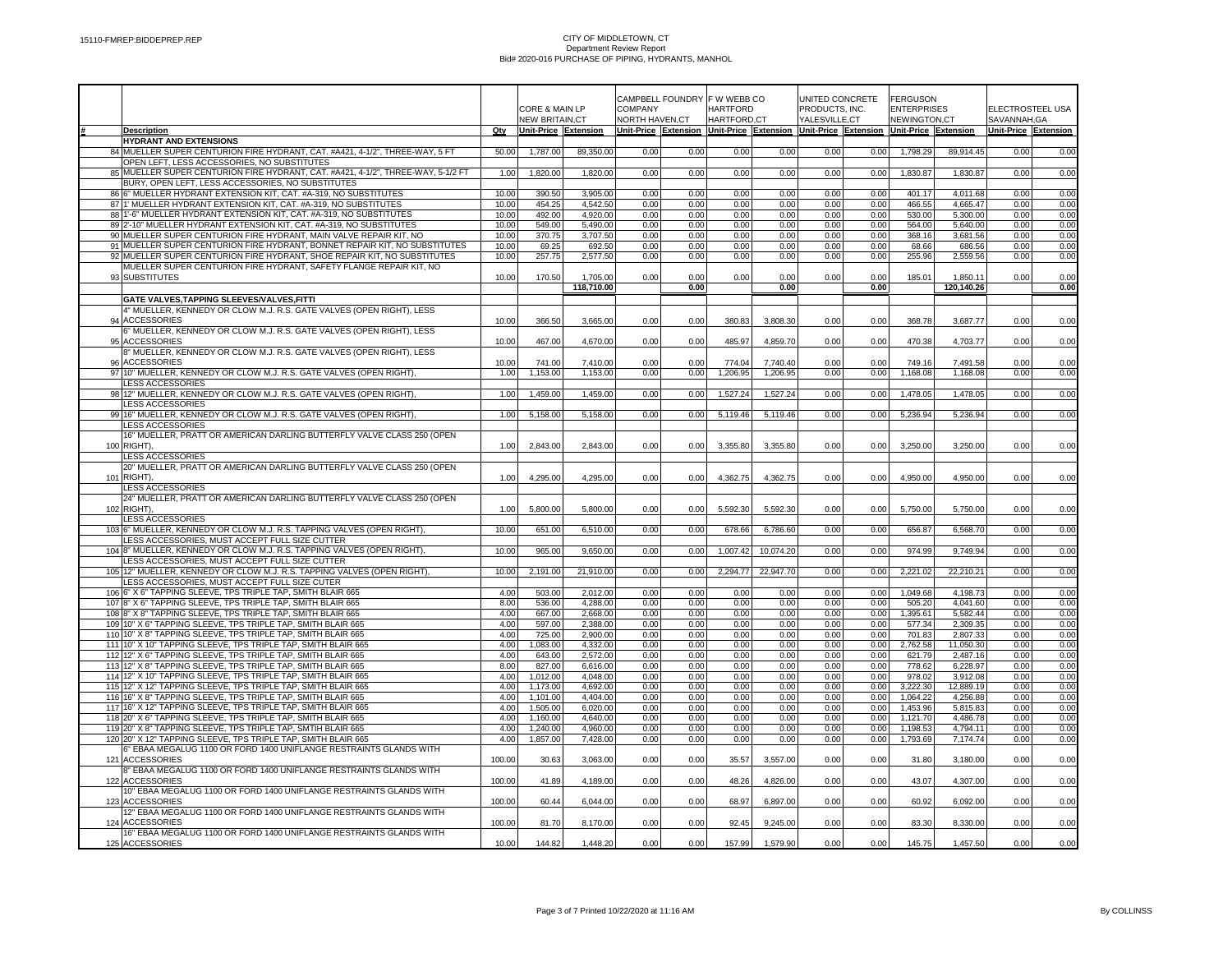|                                                                                                                                                  |                |                                         |                        |                                  | CAMPBELL FOUNDRY F W WEBB CO |                                |              |                                                                                     | UNITED CONCRETE | <b>FERGUSON</b>                    |                        |                                  |              |
|--------------------------------------------------------------------------------------------------------------------------------------------------|----------------|-----------------------------------------|------------------------|----------------------------------|------------------------------|--------------------------------|--------------|-------------------------------------------------------------------------------------|-----------------|------------------------------------|------------------------|----------------------------------|--------------|
|                                                                                                                                                  |                | CORE & MAIN LP<br><b>NEW BRITAIN,CT</b> |                        | <b>COMPANY</b><br>NORTH HAVEN,CT |                              | <b>HARTFORD</b><br>HARTFORD,CT |              | PRODUCTS, INC.<br>YALESVILLE,CT                                                     |                 | <b>ENTERPRISES</b><br>NEWINGTON,CT |                        | ELECTROSTEEL USA<br>SAVANNAH, GA |              |
| <b>Description</b>                                                                                                                               | Qty            | Unit-Price Extension                    |                        |                                  |                              |                                |              | Unit-Price Extension Unit-Price Extension Unit-Price Extension Unit-Price Extension |                 |                                    |                        | Unit-Price Extension             |              |
| <b>HYDRANT AND EXTENSIONS</b>                                                                                                                    |                |                                         |                        |                                  |                              |                                |              |                                                                                     |                 |                                    |                        |                                  |              |
| 84 MUELLER SUPER CENTURION FIRE HYDRANT, CAT. #A421, 4-1/2", THREE-WAY, 5 FT<br>OPEN LEFT, LESS ACCESSORIES, NO SUBSTITUTES                      | 50.00          | 1,787.00                                | 89,350.00              | 0.00                             | 0.00                         | 0.00                           | 0.00         | 0.00                                                                                | 0.00            | 1,798.29                           | 89,914.45              | 0.00                             | 0.00         |
| 85 MUELLER SUPER CENTURION FIRE HYDRANT, CAT. #A421, 4-1/2", THREE-WAY, 5-1/2 FT                                                                 | 1.00           | 1,820.00                                | 1,820.00               | 0.00                             | 0.00                         | 0.00                           | 0.00         | 0.00                                                                                | 0.00            | 1,830.87                           | 1,830.87               | 0.00                             | 0.00         |
| BURY, OPEN LEFT, LESS ACCESSORIES, NO SUBSTITUTES                                                                                                |                |                                         |                        |                                  |                              |                                |              |                                                                                     |                 |                                    |                        |                                  |              |
| 86 6" MUELLER HYDRANT EXTENSION KIT, CAT. #A-319, NO SUBSTITUTES<br>87 1' MUELLER HYDRANT EXTENSION KIT, CAT. #A-319, NO SUBSTITUTES             | 10.00<br>10.00 | 390.50<br>454.25                        | 3,905.00<br>4,542.50   | 0.00<br>0.00                     | 0.00<br>0.00                 | 0.00<br>0.00                   | 0.00<br>0.00 | 0.00<br>0.00                                                                        | 0.00<br>0.00    | 401.17<br>466.55                   | 4,011.68<br>4,665.47   | 0.00<br>0.00                     | 0.00<br>0.00 |
| 88 1'-6" MUELLER HYDRANT EXTENSION KIT, CAT. #A-319, NO SUBSTITUTES                                                                              | 10.00          | 492.00                                  | 4,920.00               | 0.00                             | 0.00                         | 0.00                           | 0.00         | 0.00                                                                                | 0.00            | 530.00                             | 5,300.00               | 0.00                             | 0.00         |
| 89 2'-10" MUELLER HYDRANT EXTENSION KIT, CAT. #A-319, NO SUBSTITUTES                                                                             | 10.00          | 549.00                                  | 5,490.00               | 0.00                             | 0.00                         | 0.00                           | 0.00         | 0.00                                                                                | 0.00            | 564.00                             | 5,640.00               | 0.00                             | 0.00         |
| 90 MUELLER SUPER CENTURION FIRE HYDRANT, MAIN VALVE REPAIR KIT, NO<br>91 MUELLER SUPER CENTURION FIRE HYDRANT, BONNET REPAIR KIT, NO SUBSTITUTES | 10.00<br>10.00 | 370.75<br>69.25                         | 3,707.50<br>692.50     | 0.00<br>0.00                     | 0.00<br>0.00                 | 0.00<br>0.00                   | 0.00<br>0.00 | 0.00<br>0.00                                                                        | 0.00<br>0.00    | 368.16<br>68.66                    | 3,681.56<br>686.56     | 0.00<br>0.00                     | 0.00<br>0.00 |
| 92 MUELLER SUPER CENTURION FIRE HYDRANT, SHOE REPAIR KIT, NO SUBSTITUTES                                                                         | 10.00          | 257.75                                  | 2,577.50               | 0.00                             | 0.00                         | 0.00                           | 0.00         | 0.00                                                                                | 0.00            | 255.96                             | 2,559.56               | 0.00                             | 0.00         |
| MUELLER SUPER CENTURION FIRE HYDRANT, SAFETY FLANGE REPAIR KIT, NO                                                                               |                |                                         |                        |                                  |                              |                                |              |                                                                                     |                 |                                    |                        |                                  |              |
| 93 SUBSTITUTES                                                                                                                                   | 10.00          | 170.50                                  | 1,705.00<br>118,710.00 | 0.00                             | 0.00<br>0.00                 | 0.00                           | 0.00<br>0.00 | 0.00                                                                                | 0.00<br>0.00    | 185.01                             | 1,850.11<br>120,140.26 | 0.00                             | 0.00<br>0.00 |
| GATE VALVES, TAPPING SLEEVES/VALVES, FITTI                                                                                                       |                |                                         |                        |                                  |                              |                                |              |                                                                                     |                 |                                    |                        |                                  |              |
| 4" MUELLER, KENNEDY OR CLOW M.J. R.S. GATE VALVES (OPEN RIGHT), LESS                                                                             |                |                                         |                        |                                  |                              |                                |              |                                                                                     |                 |                                    |                        |                                  |              |
| 94 ACCESSORIES                                                                                                                                   | 10.00          | 366.50                                  | 3,665.00               | 0.00                             | 0.00                         | 380.83                         | 3,808.30     | 0.00                                                                                | 0.00            | 368.78                             | 3,687.77               | 0.00                             | 0.00         |
| 6" MUELLER, KENNEDY OR CLOW M.J. R.S. GATE VALVES (OPEN RIGHT), LESS<br>95 ACCESSORIES                                                           | 10.00          | 467.00                                  | 4,670.00               | 0.00                             | 0.00                         | 485.97                         | 4,859.70     | 0.00                                                                                | 0.00            | 470.38                             | 4,703.77               | 0.00                             | 0.00         |
| 8" MUELLER, KENNEDY OR CLOW M.J. R.S. GATE VALVES (OPEN RIGHT), LESS                                                                             |                |                                         |                        |                                  |                              |                                |              |                                                                                     |                 |                                    |                        |                                  |              |
| 96 ACCESSORIES                                                                                                                                   | 10.00          | 741.00                                  | 7.410.00               | 0.00                             | 0.00                         | 774.04                         | 7.740.40     | 0.00                                                                                | 0.00            | 749.16                             | 7.491.58               | 0.00                             | 0.00         |
| 97 10" MUELLER, KENNEDY OR CLOW M.J. R.S. GATE VALVES (OPEN RIGHT),<br>LESS ACCESSORIES                                                          | 1.00           | 1,153.00                                | 1,153.00               | 0.00                             | 0.00                         | 1,206.95                       | 1,206.95     | 0.00                                                                                | 0.00            | 1,168.08                           | 1,168.08               | 0.00                             | 0.00         |
| 98 12" MUELLER, KENNEDY OR CLOW M.J. R.S. GATE VALVES (OPEN RIGHT).                                                                              | 1.00           | 1,459.00                                | 1,459.00               | 0.00                             | 0.00                         | 1,527.24                       | 1,527.24     | 0.00                                                                                | 0.00            | 1,478.05                           | 1,478.05               | 0.00                             | 0.00         |
| LESS ACCESSORIES                                                                                                                                 |                |                                         |                        |                                  |                              |                                |              |                                                                                     |                 |                                    |                        |                                  |              |
| 99 16" MUELLER, KENNEDY OR CLOW M.J. R.S. GATE VALVES (OPEN RIGHT)<br><b>LESS ACCESSORIES</b>                                                    | 1.00           | 5,158.00                                | 5,158.00               | 0.00                             | 0.00                         | 5,119.46                       | 5,119.46     | 0.00                                                                                | 0.00            | 5,236.94                           | 5,236.94               | 0.00                             | 0.00         |
| 16" MUELLER, PRATT OR AMERICAN DARLING BUTTERFLY VALVE CLASS 250 (OPEN                                                                           |                |                                         |                        |                                  |                              |                                |              |                                                                                     |                 |                                    |                        |                                  |              |
| 100 RIGHT).                                                                                                                                      | 1.00           | 2,843.00                                | 2,843.00               | 0.00                             | 0.00                         | 3,355.80                       | 3,355.80     | 0.00                                                                                | 0.00            | 3,250.00                           | 3,250.00               | 0.00                             | 0.00         |
| <b>LESS ACCESSORIES</b>                                                                                                                          |                |                                         |                        |                                  |                              |                                |              |                                                                                     |                 |                                    |                        |                                  |              |
| 20" MUELLER, PRATT OR AMERICAN DARLING BUTTERFLY VALVE CLASS 250 (OPEN<br>101 RIGHT).                                                            | 1.00           | 4,295.00                                | 4,295.00               | 0.00                             | 0.00                         | 4,362.75                       | 4,362.75     | 0.00                                                                                | 0.00            | 4,950.00                           | 4,950.00               | 0.00                             | 0.00         |
| <b>LESS ACCESSORIES</b>                                                                                                                          |                |                                         |                        |                                  |                              |                                |              |                                                                                     |                 |                                    |                        |                                  |              |
| 24" MUELLER, PRATT OR AMERICAN DARLING BUTTERFLY VALVE CLASS 250 (OPEN<br>102 RIGHT).                                                            |                |                                         |                        |                                  |                              |                                |              |                                                                                     |                 |                                    |                        |                                  |              |
| LESS ACCESSORIES                                                                                                                                 | 1.00           | 5,800.00                                | 5,800.00               | 0.00                             | 0.00                         | 5,592.30                       | 5,592.30     | 0.00                                                                                | 0.00            | 5,750.00                           | 5,750.00               | 0.00                             | 0.00         |
| 103 6" MUELLER, KENNEDY OR CLOW M.J. R.S. TAPPING VALVES (OPEN RIGHT),                                                                           | 10.00          | 651.00                                  | 6,510.00               | 0.00                             | 0.00                         | 678.66                         | 6,786.60     | 0.00                                                                                | 0.00            | 656.87                             | 6,568.70               | 0.00                             | 0.00         |
| LESS ACCESSORIES, MUST ACCEPT FULL SIZE CUTTER                                                                                                   |                |                                         |                        |                                  |                              |                                |              |                                                                                     |                 |                                    |                        |                                  |              |
| 104 8" MUELLER, KENNEDY OR CLOW M.J. R.S. TAPPING VALVES (OPEN RIGHT),<br>LESS ACCESSORIES, MUST ACCEPT FULL SIZE CUTTER                         | 10.00          | 965.00                                  | 9,650.00               | 0.00                             | 0.00                         | 1,007.42                       | 10,074.20    | 0.00                                                                                | 0.00            | 974.99                             | 9,749.94               | 0.00                             | 0.00         |
| 105 12" MUELLER, KENNEDY OR CLOW M.J. R.S. TAPPING VALVES (OPEN RIGHT),                                                                          | 10.00          | 2,191.00                                | 21,910.00              | 0.00                             | 0.00                         | 2,294.77                       | 22,947.70    | 0.00                                                                                | 0.00            | 2,221.02                           | 22,210.21              | 0.00                             | 0.00         |
| LESS ACCESSORIES, MUST ACCEPT FULL SIZE CUTER                                                                                                    |                |                                         |                        |                                  |                              |                                |              |                                                                                     |                 |                                    |                        |                                  |              |
| 106 6" X 6" TAPPING SLEEVE, TPS TRIPLE TAP, SMITH BLAIR 665<br>107 8" X 6" TAPPING SLEEVE, TPS TRIPLE TAP, SMITH BLAIR 665                       | 4.00<br>8.00   | 503.00<br>536.00                        | 2,012.00<br>4,288.00   | 0.00<br>0.00                     | 0.00<br>0.00                 | 0.00<br>0.00                   | 0.00<br>0.00 | 0.00<br>0.00                                                                        | 0.00<br>0.00    | 1,049.68<br>505.20                 | 4,198.73<br>4,041.60   | 0.00<br>0.00                     | 0.00<br>0.00 |
| 108 8" X 8" TAPPING SLEEVE, TPS TRIPLE TAP, SMITH BLAIR 665                                                                                      | 4.00           | 667.00                                  | 2,668.00               | 0.00                             | 0.00                         | 0.00                           | 0.00         | 0.00                                                                                | 0.00            | 1,395.61                           | 5,582.44               | 0.00                             | 0.00         |
| 109 10" X 6" TAPPING SLEEVE, TPS TRIPLE TAP, SMITH BLAIR 665                                                                                     | 4.00           | 597.00                                  | 2,388.00               | 0.00                             | 0.00                         | 0.00                           | 0.00         | 0.00                                                                                | 0.00            | 577.34                             | 2,309.35               | 0.00                             | 0.00         |
| 110 10" X 8" TAPPING SLEEVE, TPS TRIPLE TAP, SMITH BLAIR 665<br>111 10" X 10" TAPPING SLEEVE, TPS TRIPLE TAP, SMITH BLAIR 665                    | 4.00<br>4.00   | 725.00<br>083.00                        | 2.900.00<br>4,332.00   | 0.00<br>0.00                     | 0.00<br>0.00                 | 0.00<br>0.00                   | 0.00<br>0.00 | 0.00<br>0.00                                                                        | 0.00<br>0.00    | 701.83<br>2,762.58                 | 2.807.33<br>11,050.30  | 0.00<br>0.00                     | 0.00<br>0.00 |
| 112 12" X 6" TAPPING SLEEVE, TPS TRIPLE TAP, SMITH BLAIR 665                                                                                     | 4.00           | 643.00                                  | 2,572.00               | 0.00                             | 0.00                         | 0.00                           | 0.00         | 0.00                                                                                | 0.00            | 621.79                             | 2,487.16               | 0.00                             | 0.00         |
| 113 12" X 8" TAPPING SLEEVE, TPS TRIPLE TAP, SMITH BLAIR 665                                                                                     | 8.00           | 827.00                                  | 6,616.00               | 0.00                             | 0.00                         | 0.00                           | 0.00         | 0.00                                                                                | 0.00            | 778.62                             | 6,228.97               | 0.00                             | 0.00         |
| 114 12" X 10" TAPPING SLEEVE, TPS TRIPLE TAP, SMITH BLAIR 665<br>115 12" X 12" TAPPING SLEEVE, TPS TRIPLE TAP, SMITH BLAIR 665                   | 4.00<br>4.00   | 1,012.00<br>1,173.00                    | 4,048.00<br>4,692.00   | 0.00<br>0.00                     | 0.00<br>0.00                 | 0.00<br>0.00                   | 0.00<br>0.00 | 0.00<br>0.00                                                                        | 0.00<br>0.00    | 978.02<br>3,222.30                 | 3,912.08<br>12,889.19  | 0.00<br>0.00                     | 0.00<br>0.00 |
| 116 16" X 8" TAPPING SLEEVE, TPS TRIPLE TAP, SMITH BLAIR 665                                                                                     | 4.00           | 1,101.00                                | 4,404.00               | 0.00                             | 0.00                         | 0.00                           | 0.00         | 0.00                                                                                | 0.00            | 1,064.22                           | 4,256.88               | 0.00                             | 0.00         |
| 117 16" X 12" TAPPING SLEEVE, TPS TRIPLE TAP, SMITH BLAIR 665                                                                                    | 4.00           | 1,505.00                                | 6,020.00               | 0.00                             | 0.00                         | 0.00                           | 0.00         | 0.00                                                                                | 0.00            | 1,453.96                           | 5,815.83               | 0.00                             | 0.00         |
| 118 20" X 6" TAPPING SLEEVE, TPS TRIPLE TAP, SMITH BLAIR 665<br>119 20" X 8" TAPPING SLEEVE, TPS TRIPLE TAP, SMTIH BLAIR 665                     | 4.00<br>4.00   | 1,160.00<br>1,240.00                    | 4,640.00<br>4,960.00   | 0.00<br>0.00                     | 0.00<br>0.00                 | 0.00<br>0.00                   | 0.00<br>0.00 | 0.00<br>0.00                                                                        | 0.00<br>0.00    | 1,121.70<br>1,198.53               | 4,486.78<br>4,794.11   | 0.00<br>0.00                     | 0.00<br>0.00 |
| 120 20" X 12" TAPPING SLEEVE, TPS TRIPLE TAP, SMITH BLAIR 665                                                                                    | 4.00           | 1,857.00                                | 7,428.00               | 0.00                             | 0.00                         | 0.00                           | 0.00         | 0.00                                                                                | 0.00            | 1,793.69                           | 7,174.74               | 0.00                             | 0.00         |
| 6" EBAA MEGALUG 1100 OR FORD 1400 UNIFLANGE RESTRAINTS GLANDS WITH                                                                               |                |                                         |                        |                                  |                              |                                |              |                                                                                     |                 |                                    |                        |                                  |              |
| 121 ACCESSORIES<br>8" EBAA MEGALUG 1100 OR FORD 1400 UNIFLANGE RESTRAINTS GLANDS WITH                                                            | 100.00         | 30.63                                   | 3,063.00               | 0.00                             | 0.00                         | 35.57                          | 3,557.00     | 0.00                                                                                | 0.00            | 31.80                              | 3,180.00               | 0.00                             | 0.00         |
| 122 ACCESSORIES                                                                                                                                  | 100.00         | 41.89                                   | 4,189.00               | 0.00                             | 0.00                         | 48.26                          | 4,826.00     | 0.00                                                                                | 0.00            | 43.07                              | 4,307.00               | 0.00                             | 0.00         |
| 10" EBAA MEGALUG 1100 OR FORD 1400 UNIFLANGE RESTRAINTS GLANDS WITH                                                                              |                |                                         |                        |                                  |                              |                                |              |                                                                                     |                 |                                    |                        |                                  |              |
| 123 ACCESSORIES<br>12" EBAA MEGALUG 1100 OR FORD 1400 UNIFLANGE RESTRAINTS GLANDS WITH                                                           | 100.00         | 60.44                                   | 6,044.00               | 0.00                             | 0.00                         | 68.97                          | 6,897.00     | 0.00                                                                                | 0.00            | 60.92                              | 6,092.00               | 0.00                             | 0.00         |
| 124 ACCESSORIES                                                                                                                                  | 100.00         | 81.70                                   | 8,170.00               | 0.00                             | 0.00                         | 92.45                          | 9,245.00     | 0.00                                                                                | 0.00            | 83.30                              | 8,330.00               | 0.00                             | 0.00         |
| 16" EBAA MEGALUG 1100 OR FORD 1400 UNIFLANGE RESTRAINTS GLANDS WITH                                                                              |                |                                         |                        |                                  |                              |                                |              |                                                                                     |                 |                                    |                        |                                  |              |
| 125 ACCESSORIES                                                                                                                                  | 10.00          | 144.82                                  | 1,448.20               | 0.00                             | 0.00                         | 157.99                         | 1,579.90     | 0.00                                                                                | 0.00            | 145.75                             | 1,457.50               | 0.00                             | 0.00         |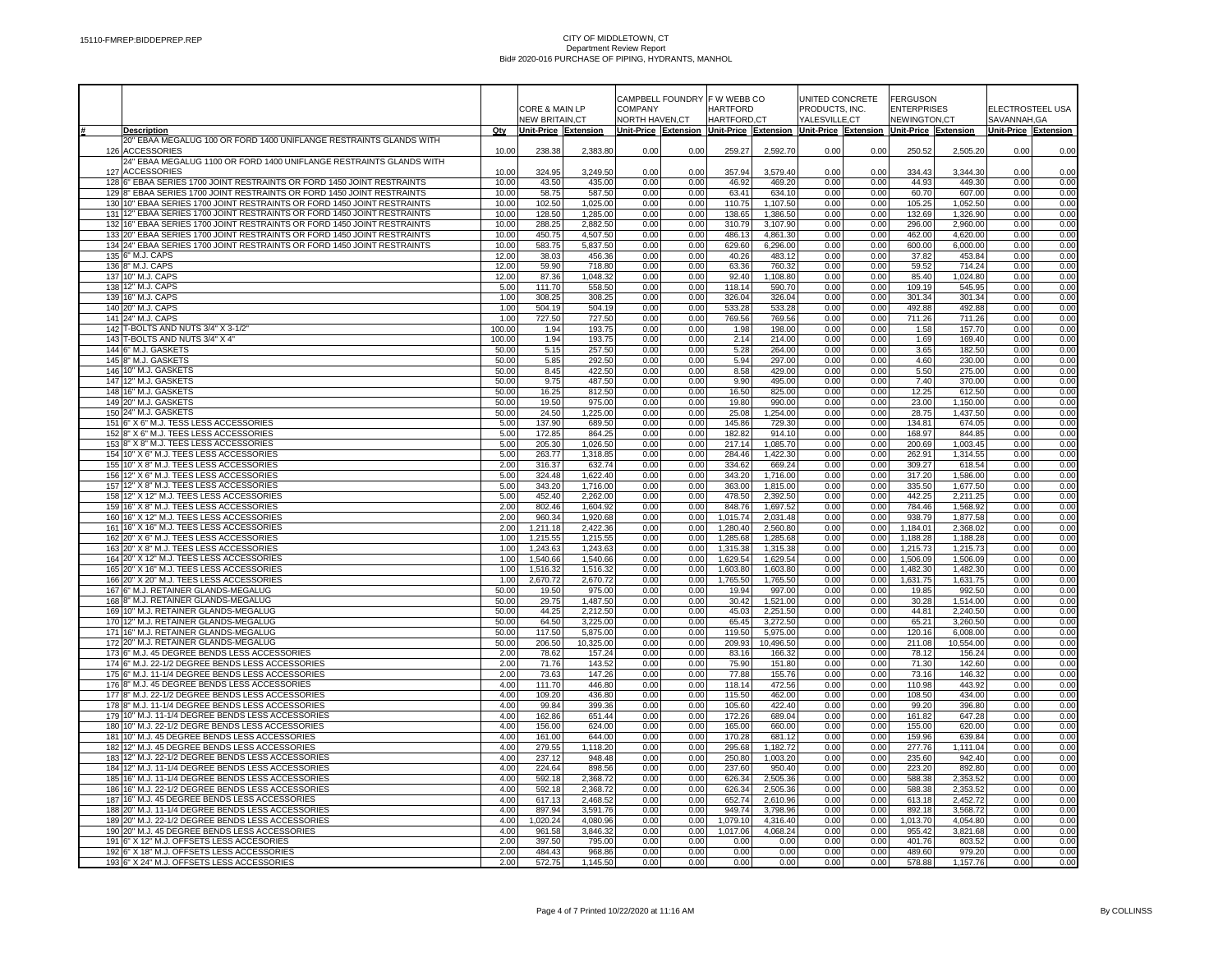|                                                                                                                                                   |                |                       |                      |                | CAMPBELL FOUNDRY |                      | F W WEBB CO          |                                   |              |                                                                                     |                      |                      |              |
|---------------------------------------------------------------------------------------------------------------------------------------------------|----------------|-----------------------|----------------------|----------------|------------------|----------------------|----------------------|-----------------------------------|--------------|-------------------------------------------------------------------------------------|----------------------|----------------------|--------------|
|                                                                                                                                                   |                | CORE & MAIN LP        |                      | COMPANY        |                  | <b>HARTFORD</b>      |                      | UNITED CONCRETE<br>PRODUCTS, INC. |              | <b>FERGUSON</b><br><b>ENTERPRISES</b>                                               |                      | ELECTROSTEEL USA     |              |
|                                                                                                                                                   |                | <b>NEW BRITAIN.CT</b> |                      | NORTH HAVEN,CT |                  | <b>HARTFORD.CT</b>   |                      | YALESVILLE,CT                     |              | NEWINGTON,CT                                                                        |                      | SAVANNAH, GA         |              |
| <b>Description</b>                                                                                                                                | Qty            | Unit-Price Extension  |                      |                |                  |                      |                      |                                   |              | Unit-Price Extension Unit-Price Extension Unit-Price Extension Unit-Price Extension |                      | Unit-Price Extension |              |
| 20" EBAA MEGALUG 100 OR FORD 1400 UNIFLANGE RESTRAINTS GLANDS WITH                                                                                |                |                       |                      |                |                  |                      |                      |                                   |              |                                                                                     |                      |                      |              |
| 126 ACCESSORIES                                                                                                                                   | 10.00          | 238.38                | 2,383.80             | 0.00           | 0.00             | 259.27               | 2,592.70             | 0.00                              | 0.00         | 250.52                                                                              | 2,505.20             | 0.00                 | 0.00         |
| 24" EBAA MEGALUG 1100 OR FORD 1400 UNIFLANGE RESTRAINTS GLANDS WITH                                                                               |                |                       |                      |                |                  |                      |                      |                                   |              |                                                                                     |                      |                      |              |
| 127 ACCESSORIES                                                                                                                                   | 10.00          | 324.95                | 3,249.50             | 0.00           | 0.00             | 357.94               | 3.579.40             | 0.00                              | 0.00         | 334.43                                                                              | 3.344.30             | 0.00                 | 0.00         |
| 128 6" EBAA SERIES 1700 JOINT RESTRAINTS OR FORD 1450 JOINT RESTRAINTS                                                                            | 10.00          | 43.50                 | 435.00               | 0.00           | 0.00             | 46.92                | 469.20               | 0.00                              | 0.00         | 44.93                                                                               | 449.30               | 0.00                 | 0.00         |
| 129 8" EBAA SERIES 1700 JOINT RESTRAINTS OR FORD 1450 JOINT RESTRAINTS<br>130 10" EBAA SERIES 1700 JOINT RESTRAINTS OR FORD 1450 JOINT RESTRAINTS | 10.00<br>10.00 | 58.75<br>102.50       | 587.50<br>1,025.00   | 0.00<br>0.00   | 0.00<br>0.00     | 63.41<br>110.75      | 634.10<br>1,107.50   | 0.00<br>0.00                      | 0.00<br>0.00 | 60.70<br>105.25                                                                     | 607.00<br>1,052.50   | 0.00<br>0.00         | 0.00<br>0.00 |
| 131 12" EBAA SERIES 1700 JOINT RESTRAINTS OR FORD 1450 JOINT RESTRAINTS                                                                           | 10.00          | 128.50                | 1,285.00             | 0.00           | 0.00             | 138.65               | 1,386.50             | 0.00                              | 0.00         | 132.69                                                                              | 1,326.90             | 0.00                 | 0.00         |
| 132 16" EBAA SERIES 1700 JOINT RESTRAINTS OR FORD 1450 JOINT RESTRAINTS                                                                           | 10.00          | 288.25                | 2,882.50             | 0.00           | 0.00             | 310.79               | 3,107.90             | 0.00                              | 0.00         | 296.00                                                                              | 2,960.00             | 0.00                 | 0.00         |
| 133 20" EBAA SERIES 1700 JOINT RESTRAINTS OR FORD 1450 JOINT RESTRAINTS                                                                           | 10.00          | 450.75                | 4,507.50             | 0.00           | 0.00             | 486.13               | 4.861.30             | 0.00                              | 0.00         | 462.00                                                                              | 4,620.00             | 0.00                 | 0.00         |
| 134 24" EBAA SERIES 1700 JOINT RESTRAINTS OR FORD 1450 JOINT RESTRAINTS                                                                           | 10.00          | 583.75                | 5,837.50             | 0.00           | 0.00             | 629.60               | 6,296.00             | 0.00                              | 0.00         | 600.00                                                                              | 6,000.00             | 0.00                 | 0.00         |
| 135 6" M.J. CAPS                                                                                                                                  | 12.00          | 38.03                 | 456.36               | 0.00           | 0.00             | 40.26                | 483.12               | 0.00                              | 0.00         | 37.82                                                                               | 453.84               | 0.00                 | 0.00         |
| 136 8" M.J. CAPS                                                                                                                                  | 12.00          | 59.90                 | 718.80               | 0.00           | 0.00             | 63.36                | 760.32               | 0.00                              | 0.00         | 59.52                                                                               | 714.24               | 0.00                 | 0.00         |
| 137 10" M.J. CAPS                                                                                                                                 | 12.00          | 87.36                 | 1,048.32             | 0.00           | 0.00             | 92.40                | 1,108.80             | 0.00                              | 0.00         | 85.40                                                                               | 1,024.80             | 0.00                 | 0.00         |
| 138 12" M.J. CAPS<br>139 16" M.J. CAPS                                                                                                            | 5.00<br>1.00   | 111.70<br>308.25      | 558.50<br>308.25     | 0.00<br>0.00   | 0.00<br>0.00     | 118.14<br>326.04     | 590.70               | 0.00<br>0.00                      | 0.00<br>0.00 | 109.19                                                                              | 545.95<br>301.34     | 0.00<br>0.00         | 0.00<br>0.00 |
| 140 20" M.J. CAPS                                                                                                                                 | 1.00           | 504.19                | 504.19               | 0.00           | 0.00             | 533.28               | 326.04<br>533.28     | 0.00                              | 0.00         | 301.34<br>492.88                                                                    | 492.88               | 0.00                 | 0.00         |
| 141 24" M.J. CAPS                                                                                                                                 | 1.00           | 727.50                | 727.50               | 0.00           | 0.00             | 769.56               | 769.56               | 0.00                              | 0.00         | 711.26                                                                              | 711.26               | 0.00                 | 0.00         |
| 142 T-BOLTS AND NUTS 3/4" X 3-1/2"                                                                                                                | 100.00         | 1.94                  | 193.75               | 0.00           | 0.00             | 1.98                 | 198.00               | 0.00                              | 0.00         | 1.58                                                                                | 157.70               | 0.00                 | 0.00         |
| 143 T-BOLTS AND NUTS 3/4" X 4"                                                                                                                    | 100.00         | 1.94                  | 193.75               | 0.00           | 0.00             | 2.14                 | 214.00               | 0.00                              | 0.00         | 1.69                                                                                | 169.40               | 0.00                 | 0.00         |
| 144 6" M.J. GASKETS                                                                                                                               | 50.00          | 5.15                  | 257.50               | 0.00           | 0.00             | 5.28                 | 264.00               | 0.00                              | 0.00         | 3.65                                                                                | 182.50               | 0.00                 | 0.00         |
| 145 8" M.J. GASKETS                                                                                                                               | 50.00          | 5.85                  | 292.50               | 0.00           | 0.00             | 5.94                 | 297.00               | 0.00                              | 0.00         | 4.60                                                                                | 230.00               | 0.00                 | 0.00         |
| 146 10" M.J. GASKETS                                                                                                                              | 50.00          | 8.45                  | 422.50               | 0.00           | 0.00             | 8.58                 | 429.00               | 0.00                              | 0.00         | 5.50                                                                                | 275.00               | 0.00                 | 0.00         |
| 147 12" M.J. GASKETS                                                                                                                              | 50.00          | 9.75                  | 487.50               | 0.00           | 0.00             | 9.90                 | 495.00               | 0.00                              | 0.00         | 7.40                                                                                | 370.00               | 0.00                 | 0.00         |
| 148 16" M.J. GASKETS                                                                                                                              | 50.00          | 16.25                 | 812.50               | 0.00           | 0.00             | 16.50                | 825.00               | 0.00                              | 0.00         | 12.25                                                                               | 612.50               | 0.00                 | 0.00         |
| 149 20" M.J. GASKETS                                                                                                                              | 50.00          | 19.50                 | 975.00               | 0.00           | 0.00             | 19.80                | 990.00               | 0.00                              | 0.00         | 23.00                                                                               | 1,150.00             | 0.00                 | 0.00         |
| 150 24" M.J. GASKETS<br>151 6" X 6" M.J. TESS LESS ACCESSORIES                                                                                    | 50.00<br>5.00  | 24.50<br>137.90       | 1,225.00<br>689.50   | 0.00<br>0.00   | 0.00<br>0.00     | 25.08<br>145.86      | 1,254.00<br>729.30   | 0.00<br>0.00                      | 0.00<br>0.00 | 28.75<br>134.81                                                                     | 1,437.50<br>674.05   | 0.00<br>0.00         | 0.00<br>0.00 |
| 152 8" X 6" M.J. TEES LESS ACCESSORIES                                                                                                            | 5.00           | 172.85                | 864.25               | 0.00           | 0.00             | 182.82               | 914.10               | 0.00                              | 0.00         | 168.97                                                                              | 844.85               | 0.00                 | 0.00         |
| 153 8" X 8" M.J. TEES LESS ACCESSORIES                                                                                                            | 5.00           | 205.30                | 1,026.50             | 0.00           | 0.00             | 217.14               | 1,085.70             | 0.00                              | 0.00         | 200.69                                                                              | 1,003.45             | 0.00                 | 0.00         |
| 154 10" X 6" M.J. TEES LESS ACCESSORIES                                                                                                           | 5.00           | 263.77                | 1,318.85             | 0.00           | 0.00             | 284.46               | 1,422.30             | 0.00                              | 0.00         | 262.91                                                                              | 1,314.55             | 0.00                 | 0.00         |
| 155 10" X 8" M.J. TEES LESS ACCESSORIES                                                                                                           | 2.00           | 316.37                | 632.74               | 0.00           | 0.00             | 334.62               | 669.24               | 0.00                              | 0.00         | 309.27                                                                              | 618.54               | 0.00                 | 0.00         |
| 156 12" X 6" M.J. TEES LESS ACCESSORIES                                                                                                           | 5.00           | 324.48                | 1,622.40             | 0.00           | 0.00             | 343.20               | 1,716.00             | 0.00                              | 0.00         | 317.20                                                                              | 1,586.00             | 0.00                 | 0.00         |
| 157 12" X 8" M.J. TEES LESS ACCESSORIES                                                                                                           | 5.00           | 343.20                | 1,716.00             | 0.00           | 0.00             | 363.00               | 1,815.00             | 0.00                              | 0.00         | 335.50                                                                              | 1,677.50             | 0.00                 | 0.00         |
| 158 12" X 12" M.J. TEES LESS ACCESSORIES                                                                                                          | 5.00           | 452.40                | 2,262.00             | 0.00           | 0.00             | 478.50               | 2,392.50             | 0.00                              | 0.00         | 442.25                                                                              | 2,211.25             | 0.00                 | 0.00         |
| 159 16" X 8" M.J. TEES LESS ACCESSORIES                                                                                                           | 2.00           | 802.46                | 1,604.92             | 0.00           | 0.00             | 848.76               | 1,697.52             | 0.00                              | 0.00         | 784.46                                                                              | 1,568.92             | 0.00                 | 0.00         |
| 160 16" X 12" M.J. TEES LESS ACCESSORIES<br>161 16" X 16" M.J. TEES LESS ACCESSORIES                                                              | 2.00           | 960.34                | 1,920.68             | 0.00           | 0.00             | 1,015.74             | 2,031.48             | 0.00                              | 0.00         | 938.79                                                                              | 1,877.58             | 0.00                 | 0.00         |
| 162 20" X 6" M.J. TEES LESS ACCESSORIES                                                                                                           | 2.00<br>1.00   | 1,211.18<br>1,215.55  | 2,422.36<br>1,215.55 | 0.00<br>0.00   | 0.00<br>0.00     | 1,280.40<br>1,285.68 | 2,560.80<br>1,285.68 | 0.00<br>0.00                      | 0.00<br>0.00 | 1,184.01<br>1,188.28                                                                | 2,368.02<br>1,188.28 | 0.00<br>0.00         | 0.00<br>0.00 |
| 163 20" X 8" M.J. TEES LESS ACCESSORIES                                                                                                           | 1.00           | 1,243.63              | 1,243.63             | 0.00           | 0.00             | 1,315.38             | 1,315.38             | 0.00                              | 0.00         | 1,215.73                                                                            | 1,215.73             | 0.00                 | 0.00         |
| 164 20" X 12" M.J. TEES LESS ACCESSORIES                                                                                                          | 1.00           | 1,540.66              | 1,540.66             | 0.00           | 0.00             | 1,629.54             | 1,629.54             | 0.00                              | 0.00         | 1,506.09                                                                            | 1,506.09             | 0.00                 | 0.00         |
| 165 20" X 16" M.J. TEES LESS ACCESSORIES                                                                                                          | 1.00           | 1,516.32              | 1,516.32             | 0.00           | 0.00             | 1,603.80             | 1,603.80             | 0.00                              | 0.00         | 1,482.30                                                                            | 1,482.30             | 0.00                 | 0.00         |
| 166 20" X 20" M.J. TEES LESS ACCESSORIES                                                                                                          | 1.00           | 2,670.72              | 2,670.72             | 0.00           | 0.00             | 1,765.50             | 1,765.50             | 0.00                              | 0.00         | 1,631.75                                                                            | 1,631.75             | 0.00                 | 0.00         |
| 167 6" M.J. RETAINER GLANDS-MEGALUG                                                                                                               | 50.00          | 19.50                 | 975.00               | 0.00           | 0.00             | 19.94                | 997.00               | 0.00                              | 0.00         | 19.85                                                                               | 992.50               | 0.00                 | 0.00         |
| 168 8" M.J. RETAINER GLANDS-MEGALUG                                                                                                               | 50.00          | 29.75                 | 1,487.50             | 0.00           | 0.00             | 30.42                | 1,521.00             | 0.00                              | 0.00         | 30.28                                                                               | 1,514.00             | 0.00                 | 0.00         |
| 169 10" M.J. RETAINER GLANDS-MEGALUG                                                                                                              | 50.00          | 44.25                 | 2,212.50             | 0.00           | 0.00             | 45.03                | 2,251.50             | 0.00                              | 0.00         | 44.81                                                                               | 2,240.50             | 0.00                 | 0.00         |
| 170 12" M.J. RETAINER GLANDS-MEGALUG<br>171 16" M.J. RETAINER GLANDS-MEGALUG                                                                      | 50.00<br>50.00 | 64.50<br>117.50       | 3,225.00<br>5,875.00 | 0.00<br>0.00   | 0.00<br>0.00     | 65.45<br>119.50      | 3,272.50<br>5,975.00 | 0.00<br>0.00                      | 0.00<br>0.00 | 65.21<br>120.16                                                                     | 3,260.50<br>6,008.00 | 0.00<br>0.00         | 0.00         |
| 172 20" M.J. RETAINER GLANDS-MEGALUG                                                                                                              | 50.00          | 206.50                | 10,325.00            | 0.00           | 0.00             | 209.93               | 10,496.50            | 0.00                              | 0.00         | 211.08                                                                              | 10,554.00            | 0.00                 | 0.00<br>0.00 |
| 173 6" M.J. 45 DEGREE BENDS LESS ACCESSORIES                                                                                                      | 2.00           | 78.62                 | 157.24               | 0.00           | 0.00             | 83.16                | 166.32               | 0.00                              | 0.00         | 78.12                                                                               | 156.24               | 0.00                 | 0.00         |
| 174 6" M.J. 22-1/2 DEGREE BENDS LESS ACCESSORIES                                                                                                  | 2.00           | 71.76                 | 143.52               | 0.00           | 0.00             | 75.90                | 151.80               | 0.00                              | 0.00         | 71.30                                                                               | 142.60               | 0.00                 | 0.00         |
| 175 6" M.J. 11-1/4 DEGREE BENDS LESS ACCESSORIES                                                                                                  | 2.00           | 73.63                 | 147.26               | 0.00           | 0.00             | 77.88                | 155.76               | 0.00                              | 0.00         | 73.16                                                                               | 146.32               | 0.00                 | 0.00         |
| 176 8" M.J. 45 DEGREE BENDS LESS ACCESSORIES                                                                                                      | 4.00           | 111.70                | 446.80               | 0.00           | 0.00             | 118.14               | 472.56               | 0.00                              | 0.00         | 110.98                                                                              | 443.92               | 0.00                 | 0.00         |
| 177 8" M.J. 22-1/2 DEGREE BENDS LESS ACCESSORIES                                                                                                  | 4.00           | 109.20                | 436.80               | 0.00           | 0.00             | 115.50               | 462.00               | 0.00                              | 0.00         | 108.50                                                                              | 434.00               | 0.00                 | 0.00         |
| 178 8" M.J. 11-1/4 DEGREE BENDS LESS ACCESSORIES                                                                                                  | 4.00           | 99.84                 | 399.36               | 0.00           | 0.00             | 105.60               | 422.40               | 0.00                              | 0.00         | 99.20                                                                               | 396.80               | 0.00                 | 0.00         |
| 179 10" M.J. 11-1/4 DEGREE BENDS LESS ACCESSORIES                                                                                                 | 4.00           | 162.86                | 651.44               | 0.00           | 0.00             | 172.26               | 689.04               | 0.00                              | 0.00         | 161.82                                                                              | 647.28               | 0.00                 | 0.00         |
| 180 10" M.J. 22-1/2 DEGRE BENDS LESS ACCESSORIES                                                                                                  | 4.00<br>4.00   | 156.00<br>161.00      | 624.00<br>644.00     | 0.00<br>0.00   | 0.00<br>0.00     | 165.00               | 660.00               | 0.00<br>0.00                      | 0.00         | 155.00                                                                              | 620.00               | 0.00<br>0.00         | 0.00         |
| 181 10" M.J. 45 DEGREE BENDS LESS ACCESSORIES<br>182 12" M.J. 45 DEGREE BENDS LESS ACCESSORIES                                                    | 4.00           | 279.55                | 1,118.20             | 0.00           | 0.00             | 170.28<br>295.68     | 681.12<br>1,182.72   | 0.00                              | 0.00<br>0.00 | 159.96<br>277.76                                                                    | 639.84<br>1,111.04   | 0.00                 | 0.00<br>0.00 |
| 183 12" M.J. 22-1/2 DEGREE BENDS LESS ACCESSORIES                                                                                                 | 4.00           | 237.12                | 948.48               | 0.00           | 0.00             | 250.80               | 1,003.20             | 0.00                              | 0.00         | 235.60                                                                              | 942.40               | 0.00                 | 0.00         |
| 184 12" M.J. 11-1/4 DEGREE BENDS LESS ACCESSORIES                                                                                                 | 4.00           | 224.64                | 898.56               | 0.00           | 0.00             | 237.60               | 950.40               | 0.00                              | 0.00         | 223.20                                                                              | 892.80               | 0.00                 | 0.00         |
| 185 16" M.J. 11-1/4 DEGREE BENDS LESS ACCESSORIES                                                                                                 | 4.00           | 592.18                | 2,368.72             | 0.00           | 0.00             | 626.34               | 2,505.36             | 0.00                              | 0.00         | 588.38                                                                              | 2,353.52             | 0.00                 | 0.00         |
| 186 16" M.J. 22-1/2 DEGREE BENDS LESS ACCESSORIES                                                                                                 | 4.00           | 592.18                | 2,368.72             | 0.00           | 0.00             | 626.34               | 2,505.36             | 0.00                              | 0.00         | 588.38                                                                              | 2,353.52             | 0.00                 | 0.00         |
| 187 16" M.J. 45 DEGREE BENDS LESS ACCESSORIES                                                                                                     | 4.00           | 617.13                | 2,468.52             | 0.00           | 0.00             | 652.74               | 2,610.96             | 0.00                              | 0.00         | 613.18                                                                              | 2,452.72             | 0.00                 | 0.00         |
| 188 20" M.J. 11-1/4 DEGREE BENDS LESS ACCESSORIES                                                                                                 | 4.00           | 897.94                | 3,591.76             | 0.00           | 0.00             | 949.74               | 3,798.96             | 0.00                              | 0.00         | 892.18                                                                              | 3,568.72             | 0.00                 | 0.00         |
| 189 20" M.J. 22-1/2 DEGREE BENDS LESS ACCESSORIES                                                                                                 | 4.00           | 1,020.24              | 4,080.96             | 0.00           | 0.00             | 1,079.10             | 4,316.40             | 0.00                              | 0.00         | 1,013.70                                                                            | 4,054.80             | 0.00                 | 0.00         |
| 190 20" M.J. 45 DEGREE BENDS LESS ACCESSORIES                                                                                                     | 4.00           | 961.58                | 3,846.32             | 0.00           | 0.00             | 1,017.06             | 4,068.24             | 0.00                              | 0.00         | 955.42                                                                              | 3,821.68             | 0.00                 | 0.00         |
| 191 6" X 12" M.J. OFFSETS LESS ACCESORIES<br>192 6" X 18" M.J. OFFSETS LESS ACCESSORIES                                                           | 2.00<br>2.00   | 397.50<br>484.43      | 795.00<br>968.86     | 0.00<br>0.00   | 0.00<br>0.00     | 0.00<br>0.00         | 0.00<br>0.00         | 0.00<br>0.00                      | 0.00<br>0.00 | 401.76<br>489.60                                                                    | 803.52<br>979.20     | 0.00<br>0.00         | 0.00<br>0.00 |
| 193 6" X 24" M.J. OFFSETS LESS ACCESSORIES                                                                                                        | 2.00           | 572.75                | 1.145.50             | 0.00           | 0.00             | 0.00                 | 0.00                 | 0.00                              | 0.00         | 578.88                                                                              | 1.157.76             | 0.00                 | 0.00         |
|                                                                                                                                                   |                |                       |                      |                |                  |                      |                      |                                   |              |                                                                                     |                      |                      |              |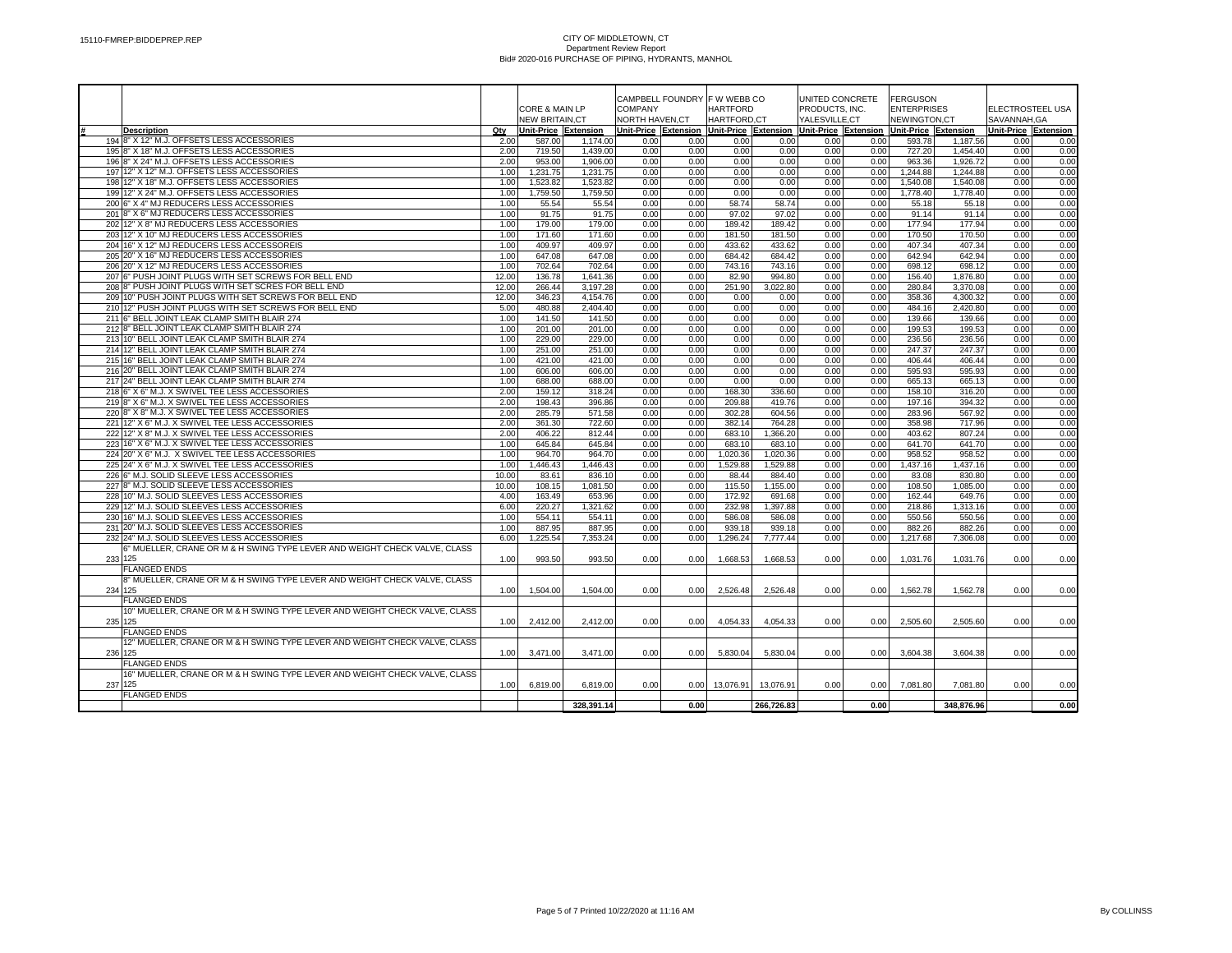|                                                                             |       |                           |            |                |                   | CAMPBELL FOUNDRY F W WEBB CO                                                        |            | UNITED CONCRETE |      | <b>FERGUSON</b>    |            |                      |      |
|-----------------------------------------------------------------------------|-------|---------------------------|------------|----------------|-------------------|-------------------------------------------------------------------------------------|------------|-----------------|------|--------------------|------------|----------------------|------|
|                                                                             |       | <b>CORE &amp; MAIN LP</b> |            | COMPANY        |                   | <b>HARTFORD</b>                                                                     |            | PRODUCTS. INC.  |      | <b>ENTERPRISES</b> |            | ELECTROSTEEL USA     |      |
|                                                                             |       | <b>NEW BRITAIN.CT</b>     |            | NORTH HAVEN,CT |                   | HARTFORD.CT                                                                         |            | YALESVILLE.CT   |      | NEWINGTON.CT       |            | SAVANNAH.GA          |      |
| Description                                                                 | Qty   | Unit-Price Extension      |            |                |                   | Unit-Price Extension Unit-Price Extension Unit-Price Extension Unit-Price Extension |            |                 |      |                    |            | Unit-Price Extension |      |
| 194 8" X 12" M.J. OFFSETS LESS ACCESSORIES                                  | 2.00  | 587.00                    | 1.174.00   | 0.00           | 0.00              | 0.00                                                                                | 0.00       | 0.00            | 0.00 | 593.78             | 1.187.56   | 0.00                 | 0.00 |
| 195 8" X 18" M.J. OFFSETS LESS ACCESSORIES                                  | 2.00  | 719.50                    | 1.439.00   | 0.00           | 0.00              | 0.00                                                                                | 0.00       | 0.00            | 0.00 | 727.20             | 1,454.40   | 0.00                 | 0.00 |
| 196 8" X 24" M.J. OFFSETS LESS ACCESSORIES                                  | 2.00  | 953.00                    | 1.906.00   | 0.00           | 0.00              | 0.00                                                                                | 0.00       | 0.00            | 0.00 | 963.36             | 1.926.72   | 0.00                 | 0.00 |
| 197 12" X 12" M.J. OFFSETS LESS ACCESSORIES                                 | 1.00  | 1.231.75                  | 1.231.75   | 0.00           | 0.00              | 0.00                                                                                | 0.00       | 0.00            | 0.00 | 1.244.88           | 1.244.88   | 0.00                 | 0.00 |
| 198 12" X 18" M.J. OFFSETS LESS ACCESSORIES                                 | 1.00  | 1.523.82                  | 1.523.82   | 0.00           | 0.00              | 0.00                                                                                | 0.00       | 0.00            | 0.00 | 1.540.08           | 1.540.08   | 0.00                 | 0.00 |
| 19912" X 24" M.J. OFFSETS LESS ACCESSORIES                                  | 1.00  | 1.759.50                  | 1.759.50   | 0.00           | 0.00              | 0.00                                                                                | 0.00       | 0.00            | 0.00 | 1.778.40           | 1.778.40   | 0.00                 | 0.00 |
| 200 6" X 4" MJ REDUCERS LESS ACCESSORIES                                    | 1.00  | 55.54                     | 55.54      | 0.00           | 0.00              | 58.74                                                                               | 58.74      | 0.00            | 0.00 | 55.18              | 55.18      | 0.00                 | 0.00 |
| 201 8" X 6" MJ REDUCERS LESS ACCESSORIES                                    | 1.00  | 91.75                     | 91.75      | 0.00           | 0.00              | 97.02                                                                               | 97.02      | 0.00            | 0.00 | 91.14              | 91.14      | 0.00                 | 0.00 |
| 202 12" X 8" MJ REDUCERS LESS ACCESSORIES                                   | 1.00  | 179.00                    | 179.00     | 0.00           | 0.00              | 189.42                                                                              | 189.42     | 0.00            | 0.00 | 177.94             | 177.94     | 0.00                 | 0.00 |
| 203 12" X 10" MJ REDUCERS LESS ACCESSORIES                                  | 1.00  | 171.60                    | 171.60     | 0.00           | 0.00              | 181.50                                                                              | 181.50     | 0.00            | 0.00 | 170.50             | 170.50     | 0.00                 | 0.00 |
| 204 16" X 12" MJ REDUCERS LESS ACCESSOREIS                                  | 1.00  | 409.97                    | 409.97     | 0.00           | 0.00              | 433.62                                                                              | 433.62     | 0.00            | 0.00 | 407.34             | 407.34     | 0.00                 | 0.00 |
| 205 20" X 16" MJ REDUCERS LESS ACCESSORIES                                  | 1.00  | 647.08                    | 647.08     | 0.00           | 0.00              | 684.42                                                                              | 684.42     | 0.00            | 0.00 | 642.94             | 642.94     | 0.00                 | 0.00 |
| 206 20" X 12" MJ REDUCERS LESS ACCESSORIES                                  | 1.00  | 702.64                    | 702.64     | 0.00           | 0.00              | 743.16                                                                              | 743.16     | 0.00            | 0.00 | 698.12             | 698.12     | 0.00                 | 0.00 |
| 207 6" PUSH JOINT PLUGS WITH SET SCREWS FOR BELL END                        | 12.00 | 136.78                    | 1.641.36   | 0.00           | 0.00              | 82.90                                                                               | 994.80     | 0.00            | 0.00 | 156.40             | 1,876.80   | 0.00                 | 0.00 |
| 208 8" PUSH JOINT PLUGS WITH SET SCRES FOR BELL END                         | 12.00 | 266.44                    | 3,197.28   | 0.00           | 0.00              | 251.90                                                                              | 3.022.80   | 0.00            | 0.00 | 280.84             | 3,370.08   | 0.00                 | 0.00 |
| 209 10" PUSH JOINT PLUGS WITH SET SCREWS FOR BELL END                       | 12.00 | 346.23                    |            | 0.00           | 0.00              |                                                                                     | 0.00       | 0.00            | 0.00 | 358.36             | 4.300.32   | 0.00                 |      |
|                                                                             |       |                           | 4.154.76   |                |                   | 0.00                                                                                |            |                 |      |                    |            |                      | 0.00 |
| 210 12" PUSH JOINT PLUGS WITH SET SCREWS FOR BELL END                       | 5.00  | 480.88                    | 2.404.40   | 0.00           | 0.00              | 0.00                                                                                | 0.00       | 0.00            | 0.00 | 484.16             | 2,420.80   | 0.00                 | 0.00 |
| 211 6" BELL JOINT LEAK CLAMP SMITH BLAIR 274                                | 1.00  | 141.50                    | 141.50     | 0.00           | 0.00              | 0.00                                                                                | 0.00       | 0.00            | 0.00 | 139.66             | 139.66     | 0.00                 | 0.00 |
| 212 8" BELL JOINT LEAK CLAMP SMITH BLAIR 274                                | 1.00  | 201.00                    | 201.00     | 0.00           | 0.00              | 0.00                                                                                | 0.00       | 0.00            | 0.00 | 199.53             | 199.53     | 0.00                 | 0.00 |
| 213 10" BELL JOINT LEAK CLAMP SMITH BLAIR 274                               | 1.00  | 229.00                    | 229.00     | 0.00           | 0.00              | 0.00                                                                                | 0.00       | 0.00            | 0.00 | 236.56             | 236.56     | 0.00                 | 0.00 |
| 214 12" BELL JOINT LEAK CLAMP SMITH BLAIR 274                               | 1.00  | 251.00                    | 251.00     | 0.00           | 0.00              | 0.00                                                                                | 0.00       | 0.00            | 0.00 | 247.37             | 247.37     | 0.00                 | 0.00 |
| 215 16" BELL JOINT LEAK CLAMP SMITH BLAIR 274                               | 1.00  | 421.00                    | 421.00     | 0.00           | 0.00              | 0.00                                                                                | 0.00       | 0.00            | 0.00 | 406.44             | 406.44     | 0.00                 | 0.00 |
| 216 20" BELL JOINT LEAK CLAMP SMITH BLAIR 274                               | 1.00  | 606.00                    | 606.00     | 0.00           | 0.00              | 0.00                                                                                | 0.00       | 0.00            | 0.00 | 595.93             | 595.93     | 0.00                 | 0.00 |
| 217 24" BELL JOINT LEAK CLAMP SMITH BLAIR 274                               | 1.00  | 688.00                    | 688.00     | 0.00           | 0.00              | 0.00                                                                                | 0.00       | 0.00            | 0.00 | 665.13             | 665.13     | 0.00                 | 0.00 |
| 218 6" X 6" M.J. X SWIVEL TEE LESS ACCESSORIES                              | 2.00  | 159.12                    | 318.24     | 0.00           | 0.00              | 168.30                                                                              | 336.60     | 0.00            | 0.00 | 158.10             | 316.20     | 0.00                 | 0.00 |
| 219 8" X 6" M.J. X SWIVEL TEE LESS ACCESSORIES                              | 2.00  | 198.43                    | 396.86     | 0.00           | 0.00              | 209.88                                                                              | 419.76     | 0.00            | 0.00 | 197.16             | 394.32     | 0.00                 | 0.00 |
| 220 8" X 8" M.J. X SWIVEL TEE LESS ACCESSORIES                              | 2.00  | 285.79                    | 571.58     | 0.00           | 0.00              | 302.28                                                                              | 604.56     | 0.00            | 0.00 | 283.96             | 567.92     | 0.00                 | 0.00 |
| 221 12" X 6" M.J. X SWIVEL TEE LESS ACCESSORIES                             | 2.00  | 361.30                    | 722.60     | 0.00           | 0.00              | 382.14                                                                              | 764.28     | 0.00            | 0.00 | 358.98             | 717.96     | 0.00                 | 0.00 |
| 22212" X 8" M.J. X SWIVEL TEE LESS ACCESSORIES                              | 2.00  | 406.22                    | 812.44     | 0.00           | 0.00              | 683.10                                                                              | 1.366.20   | 0.00            | 0.00 | 403.62             | 807.24     | 0.00                 | 0.00 |
| 223 16" X 6" M.J. X SWIVEL TEE LESS ACCESSORIES                             | 1.00  | 645.84                    | 645.84     | 0.00           | 0.00              | 683.10                                                                              | 683.10     | 0.00            | 0.00 | 641.70             | 641.70     | 0.00                 | 0.00 |
| 224 20" X 6" M.J. X SWIVEL TEE LESS ACCESSORIES                             | 1.00  | 964.70                    | 964.70     | 0.00           | 0.00              | 1.020.36                                                                            | 1.020.36   | 0.00            | 0.00 | 958.52             | 958.52     | 0.00                 | 0.00 |
| 225 24" X 6" M.J. X SWIVEL TEE LESS ACCESSORIES                             | 1.00  | 1,446.43                  | 1,446.43   | 0.00           | 0.00              | 1,529.88                                                                            | 1,529.88   | 0.00            | 0.00 | 1,437.16           | 1,437.16   | 0.00                 | 0.00 |
| 226 6" M.J. SOLID SLEEVE LESS ACCESSORIES                                   | 10.00 | 83.61                     | 836.10     | 0.00           | 0.00              | 88.44                                                                               | 884.40     | 0.00            | 0.00 | 83.08              | 830.80     | 0.00                 | 0.00 |
| 227 8" M.J. SOLID SLEEVE LESS ACCESSORIES                                   | 10.00 | 108.15                    | 1,081.50   | 0.00           | 0.00              | 115.50                                                                              | 1,155.00   | 0.00            | 0.00 | 108.50             | 1,085.00   | 0.00                 | 0.00 |
| 228 10" M.J. SOLID SLEEVES LESS ACCESSORIES                                 | 4.00  | 163.49                    | 653.96     | 0.00           | 0.00              | 172.92                                                                              | 691.68     | 0.00            | 0.00 | 162.44             | 649.76     | 0.00                 | 0.00 |
| 229 12" M.J. SOLID SLEEVES LESS ACCESSORIES                                 | 6.00  | 220.27                    | 1,321.62   | 0.00           | 0.00              | 232.98                                                                              | 1,397.88   | 0.00            | 0.00 | 218.86             | 1,313.16   | 0.00                 | 0.00 |
| 230 16" M.J. SOLID SLEEVES LESS ACCESSORIES                                 | 1.00  | 554.11                    | 554.11     | 0.00           | 0.00              | 586.08                                                                              | 586.08     | 0.00            | 0.00 | 550.56             | 550.56     | 0.00                 | 0.00 |
| 231 20" M.J. SOLID SLEEVES LESS ACCESSORIES                                 | 1.00  | 887.95                    | 887.95     | 0.00           | 0.00              | 939.18                                                                              | 939.18     | 0.00            | 0.00 | 882.26             | 882.26     | 0.00                 | 0.00 |
| 232 24" M.J. SOLID SLEEVES LESS ACCESSORIES                                 | 6.00  | 1.225.54                  | 7.353.24   | 0.00           | 0.00              | 1,296.24                                                                            | 7,777.44   | 0.00            | 0.00 | 1,217.68           | 7,306.08   | 0.00                 | 0.00 |
| 6" MUELLER, CRANE OR M & H SWING TYPE LEVER AND WEIGHT CHECK VALVE, CLASS   |       |                           |            |                |                   |                                                                                     |            |                 |      |                    |            |                      |      |
| 233 125                                                                     | 1.00  | 993.50                    | 993.50     | 0.00           | 0.00              | 1,668.53                                                                            | 1,668.53   | 0.00            | 0.00 | 1,031.76           | 1,031.76   | 0.00                 | 0.00 |
| <b>FLANGED ENDS</b>                                                         |       |                           |            |                |                   |                                                                                     |            |                 |      |                    |            |                      |      |
| 8" MUELLER. CRANE OR M & H SWING TYPE LEVER AND WEIGHT CHECK VALVE. CLASS   |       |                           |            |                |                   |                                                                                     |            |                 |      |                    |            |                      |      |
| 234 125                                                                     | 1.00  | 1,504.00                  | 1,504.00   | 0.00           | 0.00              | 2,526.48                                                                            | 2,526.48   | 0.00            |      | 1,562.78           | 1,562.78   | 0.00                 | 0.00 |
|                                                                             |       |                           |            |                |                   |                                                                                     |            |                 | 0.00 |                    |            |                      |      |
| <b>FLANGED ENDS</b>                                                         |       |                           |            |                |                   |                                                                                     |            |                 |      |                    |            |                      |      |
| 10" MUELLER, CRANE OR M & H SWING TYPE LEVER AND WEIGHT CHECK VALVE, CLASS  |       |                           |            |                |                   |                                                                                     |            |                 |      |                    |            |                      |      |
| 235 125                                                                     | 1.00  | 2,412.00                  | 2,412.00   | 0.00           | 0.00              | 4,054.33                                                                            | 4,054.33   | 0.00            | 0.00 | 2,505.60           | 2,505.60   | 0.00                 | 0.00 |
| <b>FLANGED ENDS</b>                                                         |       |                           |            |                |                   |                                                                                     |            |                 |      |                    |            |                      |      |
| 12" MUELLER, CRANE OR M & H SWING TYPE LEVER AND WEIGHT CHECK VALVE, CLASS  |       |                           |            |                |                   |                                                                                     |            |                 |      |                    |            |                      |      |
| 236 125                                                                     | 1.00  | 3,471.00                  | 3,471.00   | 0.00           | 0.00              | 5,830.04                                                                            | 5,830.04   | 0.00            | 0.00 | 3,604.38           | 3,604.38   | 0.00                 | 0.00 |
| <b>FLANGED ENDS</b>                                                         |       |                           |            |                |                   |                                                                                     |            |                 |      |                    |            |                      |      |
| 116" MUELLER. CRANE OR M & H SWING TYPE LEVER AND WEIGHT CHECK VALVE. CLASS |       |                           |            |                |                   |                                                                                     |            |                 |      |                    |            |                      |      |
| 237 125                                                                     | 1.00  | 6,819.00                  | 6,819.00   | 0.00           | 0.00 <sub>1</sub> | 13,076.91                                                                           | 13,076.91  | 0.00            | 0.00 | 7,081.80           | 7,081.80   | 0.00                 | 0.00 |
| <b>FLANGED ENDS</b>                                                         |       |                           |            |                |                   |                                                                                     |            |                 |      |                    |            |                      |      |
|                                                                             |       |                           | 328,391.14 |                | 0.00              |                                                                                     | 266,726.83 |                 | 0.00 |                    | 348,876.96 |                      | 0.00 |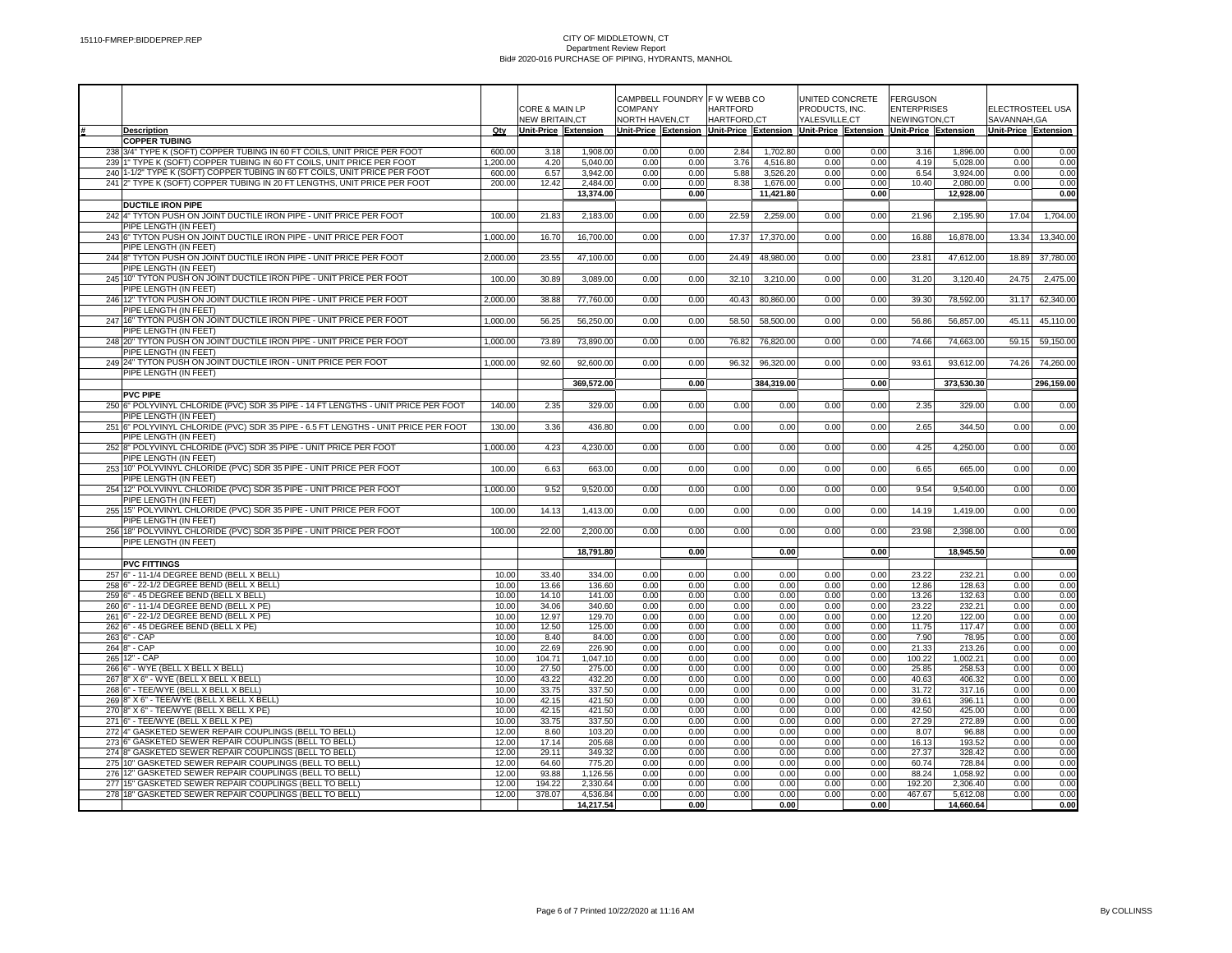|                                                                                                                |                |                       |                    |                | CAMPBELL FOUNDRY F W WEBB CO |              |              |                                                                                     | UNITED CONCRETE | <b>FERGUSON</b>    |                    |                      |              |
|----------------------------------------------------------------------------------------------------------------|----------------|-----------------------|--------------------|----------------|------------------------------|--------------|--------------|-------------------------------------------------------------------------------------|-----------------|--------------------|--------------------|----------------------|--------------|
|                                                                                                                |                | CORE & MAIN LP        |                    | COMPANY        |                              | HARTFORD     |              | PRODUCTS, INC.                                                                      |                 | <b>ENTERPRISES</b> |                    | ELECTROSTEEL USA     |              |
|                                                                                                                |                | <b>NEW BRITAIN.CT</b> |                    | NORTH HAVEN.CT |                              | HARTFORD.CT  |              | YALESVILLE.CT                                                                       |                 | NEWINGTON.CT       |                    | SAVANNAH.GA          |              |
| <b>Description</b><br><b>COPPER TUBING</b>                                                                     | Qty            | Unit-Price Extension  |                    |                |                              |              |              | Unit-Price Extension Unit-Price Extension Unit-Price Extension Unit-Price Extension |                 |                    |                    | Unit-Price Extension |              |
| 238 3/4" TYPE K (SOFT) COPPER TUBING IN 60 FT COILS, UNIT PRICE PER FOOT                                       | 600.00         | 3.18                  | 1,908.00           | 0.00           | 0.00                         | 2.84         | 1,702.80     | 0.00                                                                                | 0.00            | 3.16               | 1,896.00           | 0.00                 | 0.00         |
| 23911" TYPE K (SOFT) COPPER TUBING IN 60 FT COILS, UNIT PRICE PER FOOT                                         | 1,200.00       | 4.20                  | 5.040.00           | 0.00           | 0.00                         | 3.76         | 4,516.80     | 0.00                                                                                | 0.00            | 4.19               | 5,028.00           | 0.00                 | 0.00         |
| 240 1-1/2" TYPE K (SOFT) COPPER TUBING IN 60 FT COILS, UNIT PRICE PER FOOT                                     | 600.00         | 6.57                  | 3,942.00           | 0.00           | 0.00                         | 5.88         | 3,526.20     | 0.00                                                                                | 0.00            | 6.54               | 3,924.00           | 0.00                 | 0.00         |
| 241 2" TYPE K (SOFT) COPPER TUBING IN 20 FT LENGTHS, UNIT PRICE PER FOOT                                       | 200.00         | 12.42                 | 2,484.00           | 0.00           | 0.00                         | 8.38         | 1,676.00     | 0.00                                                                                | 0.00            | 10.40              | 2,080.00           | 0.00                 | 0.00         |
|                                                                                                                |                |                       | 13,374.00          |                | 0.00                         |              | 11,421.80    |                                                                                     | 0.00            |                    | 12,928.00          |                      | 0.00         |
| <b>DUCTILE IRON PIPE</b>                                                                                       |                |                       |                    |                |                              |              |              |                                                                                     |                 |                    |                    |                      |              |
| 242 4" TYTON PUSH ON JOINT DUCTILE IRON PIPE - UNIT PRICE PER FOOT                                             | 100.00         | 21.83                 | 2,183.00           | 0.00           | 0.00                         | 22.59        | 2,259.00     | 0.00                                                                                | 0.00            | 21.96              | 2,195.90           | 17.04                | 1,704.00     |
| PIPE LENGTH (IN FEET)                                                                                          |                |                       |                    |                |                              |              |              |                                                                                     |                 |                    |                    |                      |              |
| 243 6" TYTON PUSH ON JOINT DUCTILE IRON PIPE - UNIT PRICE PER FOOT<br>PIPE LENGTH (IN FEET)                    | 1,000.00       | 16.70                 | 16,700.00          | 0.00           | 0.00                         | 17.37        | 17,370.00    | 0.00                                                                                | 0.00            | 16.88              | 16,878.00          | 13.34                | 13,340.00    |
| 244 8" TYTON PUSH ON JOINT DUCTILE IRON PIPE - UNIT PRICE PER FOOT                                             | 2,000.00       | 23.55                 | 47,100.00          | 0.00           | 0.00                         | 24.49        | 48,980.00    | 0.00                                                                                | 0.00            | 23.81              | 47,612.00          | 18.89                | 37,780.00    |
| PIPE LENGTH (IN FEET)                                                                                          |                |                       |                    |                |                              |              |              |                                                                                     |                 |                    |                    |                      |              |
| 245 10" TYTON PUSH ON JOINT DUCTILE IRON PIPE - UNIT PRICE PER FOOT                                            | 100.00         | 30.89                 | 3,089.00           | 0.00           | 0.00                         | 32.10        | 3,210.00     | 0.00                                                                                | 0.00            | 31.20              | 3,120.40           | 24.75                | 2,475.00     |
| PIPE LENGTH (IN FEET)                                                                                          |                |                       |                    |                |                              |              |              |                                                                                     |                 |                    |                    |                      |              |
| 246 12" TYTON PUSH ON JOINT DUCTILE IRON PIPE - UNIT PRICE PER FOOT                                            | 2.000.00       | 38.88                 | 77,760.00          | 0.00           | 0.00                         | 40.43        | 80,860.00    | 0.00                                                                                | 0.00            | 39.30              | 78,592.00          | 31.17                | 62,340.00    |
| PIPE LENGTH (IN FEET)                                                                                          |                |                       |                    |                |                              |              |              |                                                                                     |                 |                    |                    |                      |              |
| 247 16" TYTON PUSH ON JOINT DUCTILE IRON PIPE - UNIT PRICE PER FOOT                                            | 1,000.00       | 56.25                 | 56,250.00          | 0.00           | 0.00                         | 58.50        | 58,500.00    | 0.00                                                                                | 0.00            | 56.86              | 56,857.00          | 45.11                | 45,110.00    |
| PIPE LENGTH (IN FEET)                                                                                          |                |                       |                    |                |                              |              |              |                                                                                     |                 |                    |                    |                      |              |
| 248 20" TYTON PUSH ON JOINT DUCTILE IRON PIPE - UNIT PRICE PER FOOT<br>PIPE LENGTH (IN FEET)                   | 1,000.00       | 73.89                 | 73,890.00          | 0.00           | 0.00                         | 76.82        | 76,820.00    | 0.00                                                                                | 0.00            | 74.66              | 74,663.00          | 59.15                | 59,150.00    |
| 249 24" TYTON PUSH ON JOINT DUCTILE IRON - UNIT PRICE PER FOOT                                                 | 1,000.00       | 92.60                 | 92,600.00          | 0.00           | 0.00                         | 96.32        | 96,320.00    | 0.00                                                                                | 0.00            | 93.61              | 93,612.00          | 74.26                | 74,260.00    |
| PIPE LENGTH (IN FEET)                                                                                          |                |                       |                    |                |                              |              |              |                                                                                     |                 |                    |                    |                      |              |
|                                                                                                                |                |                       | 369,572.00         |                | 0.00                         |              | 384,319.00   |                                                                                     | 0.00            |                    | 373,530.30         |                      | 296,159.00   |
| <b>PVC PIPE</b>                                                                                                |                |                       |                    |                |                              |              |              |                                                                                     |                 |                    |                    |                      |              |
| 250 6" POLYVINYL CHLORIDE (PVC) SDR 35 PIPE - 14 FT LENGTHS - UNIT PRICE PER FOOT                              | 140.00         | 2.35                  | 329.00             | 0.00           | 0.00                         | 0.00         | 0.00         | 0.00                                                                                | 0.00            | 2.35               | 329.00             | 0.00                 | 0.00         |
| PIPE LENGTH (IN FEET)                                                                                          |                |                       |                    |                |                              |              |              |                                                                                     |                 |                    |                    |                      |              |
| 251 6" POLYVINYL CHLORIDE (PVC) SDR 35 PIPE - 6.5 FT LENGTHS - UNIT PRICE PER FOOT                             | 130.00         | 3.36                  | 436.80             | 0.00           | 0.00                         | 0.00         | 0.00         | 0.00                                                                                | 0.00            | 2.65               | 344.50             | 0.00                 | 0.00         |
| PIPE LENGTH (IN FEET)                                                                                          |                |                       |                    |                |                              |              |              |                                                                                     |                 |                    |                    |                      |              |
| 252 8" POLYVINYL CHLORIDE (PVC) SDR 35 PIPE - UNIT PRICE PER FOOT                                              | 1,000.00       | 4.23                  | 4,230.00           | 0.00           | 0.00                         | 0.00         | 0.00         | 0.00                                                                                | 0.00            | 4.25               | 4,250.00           | 0.00                 | 0.00         |
| PIPE LENGTH (IN FEET)<br>253 10" POLYVINYL CHLORIDE (PVC) SDR 35 PIPE - UNIT PRICE PER FOOT                    | 100.00         | 6.63                  | 663.00             | 0.00           | 0.00                         | 0.00         | 0.00         | 0.00                                                                                | 0.00            | 6.65               | 665.00             | 0.00                 | 0.00         |
| PIPE LENGTH (IN FEET)                                                                                          |                |                       |                    |                |                              |              |              |                                                                                     |                 |                    |                    |                      |              |
| 254 12" POLYVINYL CHLORIDE (PVC) SDR 35 PIPE - UNIT PRICE PER FOOT                                             | 1,000.00       | 9.52                  | 9,520.00           | 0.00           | 0.00                         | 0.00         | 0.00         | 0.00                                                                                | 0.00            | 9.54               | 9,540.00           | 0.00                 | 0.00         |
| PIPE LENGTH (IN FEET)                                                                                          |                |                       |                    |                |                              |              |              |                                                                                     |                 |                    |                    |                      |              |
| 255 15" POLYVINYL CHLORIDE (PVC) SDR 35 PIPE - UNIT PRICE PER FOOT                                             | 100.00         | 14.13                 | 1,413.00           | 0.00           | 0.00                         | 0.00         | 0.00         | 0.00                                                                                | 0.00            | 14.19              | 1,419.00           | 0.00                 | 0.00         |
| PIPE LENGTH (IN FEET)                                                                                          |                |                       |                    |                |                              |              |              |                                                                                     |                 |                    |                    |                      |              |
| 256 18" POLYVINYL CHLORIDE (PVC) SDR 35 PIPE - UNIT PRICE PER FOOT                                             | 100.00         | 22.00                 | 2,200.00           | 0.00           | 0.00                         | 0.00         | 0.00         | 0.00                                                                                | 0.00            | 23.98              | 2,398.00           | 0.00                 | 0.00         |
| PIPE LENGTH (IN FEET)                                                                                          |                |                       |                    |                |                              |              | 0.00         |                                                                                     |                 |                    |                    |                      |              |
| <b>PVC FITTINGS</b>                                                                                            |                |                       | 18,791.80          |                | 0.00                         |              |              |                                                                                     | 0.00            |                    | 18,945.50          |                      | 0.00         |
| 257 6" - 11-1/4 DEGREE BEND (BELL X BELL)                                                                      | 10.00          | 33.40                 | 334.00             | 0.00           | 0.00                         | 0.00         | 0.00         | 0.00                                                                                | 0.00            | 23.22              | 232.21             | 0.00                 | 0.00         |
| 258 6" - 22-1/2 DEGREE BEND (BELL X BELL)                                                                      | 10.00          | 13.66                 | 136.60             | 0.00           | 0.00                         | 0.00         | 0.00         | 0.00                                                                                | 0.00            | 12.86              | 128.63             | 0.00                 | 0.00         |
| 259 6" - 45 DEGREE BEND (BELL X BELL)                                                                          | 10.00          | 14.10                 | 141.00             | 0.00           | 0.00                         | 0.00         | 0.00         | 0.00                                                                                | 0.00            | 13.26              | 132.63             | 0.00                 | 0.00         |
| 260 6" - 11-1/4 DEGREE BEND (BELL X PE)                                                                        | 10.00          | 34.06                 | 340.60             | 0.00           | 0.00                         | 0.00         | 0.00         | 0.00                                                                                | 0.00            | 23.22              | 232.21             | 0.00                 | 0.00         |
| 261 6" - 22-1/2 DEGREE BEND (BELL X PE)                                                                        | 10.00          | 12.97                 | 129.70             | 0.00           | 0.00                         | 0.00         | 0.00         | 0.00                                                                                | 0.00            | 12.20              | 122.00             | 0.00                 | 0.00         |
| 262 6" - 45 DEGREE BEND (BELL X PE)                                                                            | 10.00          | 12.50                 | 125.00             | 0.00           | 0.00                         | 0.00         | 0.00         | 0.00                                                                                | 0.00            | 11.75              | 117.47             | 0.00                 | 0.00         |
| 263 6" - CAP                                                                                                   | 10.00          | 8.40                  | 84.00              | 0.00           | 0.00                         | 0.00         | 0.00         | 0.00                                                                                | 0.00            | 7.90               | 78.95              | 0.00                 | 0.00         |
| 264 8" - CAP<br>265 12" - CAP                                                                                  | 10.00          | 22.69<br>104.71       | 226.90<br>1.047.10 | 0.00           | 0.00<br>0.00                 | 0.00         | 0.00<br>0.00 | 0.00<br>0.00                                                                        | 0.00<br>0.00    | 21.33<br>100.22    | 213.26<br>1,002.21 | 0.00                 | 0.00         |
| 266 6" - WYE (BELL X BELL X BELL)                                                                              | 10.00<br>10.00 | 27.50                 | 275.00             | 0.00<br>0.00   | 0.00                         | 0.00<br>0.00 | 0.00         | 0.00                                                                                | 0.00            | 25.85              | 258.53             | 0.00<br>0.00         | 0.00<br>0.00 |
| 267 8" X 6" - WYE (BELL X BELL X BELL)                                                                         | 10.00          | 43.22                 | 432.20             | 0.00           | 0.00                         | 0.00         | 0.00         | 0.00                                                                                | 0.00            | 40.63              | 406.32             | 0.00                 | 0.00         |
| 268 6" - TEE/WYE (BELL X BELL X BELL)                                                                          | 10.00          | 33.75                 | 337.50             | 0.00           | 0.00                         | 0.00         | 0.00         | 0.00                                                                                | 0.00            | 31.72              | 317.16             | 0.00                 | 0.00         |
| 269 8" X 6" - TEE/WYE (BELL X BELL X BELL)                                                                     | 10.00          | 42.15                 | 421.50             | 0.00           | 0.00                         | 0.00         | 0.00         | 0.00                                                                                | 0.00            | 39.61              | 396.11             | 0.00                 | 0.00         |
| 270 8" X 6" - TEE/WYE (BELL X BELL X PE)                                                                       | 10.00          | 42.15                 | 421.50             | 0.00           | 0.00                         | 0.00         | 0.00         | 0.00                                                                                | 0.00            | 42.50              | 425.00             | 0.00                 | 0.00         |
| 271 6" - TEE/WYE (BELL X BELL X PE)                                                                            | 10.00          | 33.75                 | 337.50             | 0.00           | 0.00                         | 0.00         | 0.00         | 0.00                                                                                | 0.00            | 27.29              | 272.89             | 0.00                 | 0.00         |
| 272 4" GASKETED SEWER REPAIR COUPLINGS (BELL TO BELL)                                                          | 12.00          | 8.60                  | 103.20             | 0.00           | 0.00                         | 0.00         | 0.00         | 0.00                                                                                | 0.00            | 8.07               | 96.88              | 0.00                 | 0.00         |
| 273 6" GASKETED SEWER REPAIR COUPLINGS (BELL TO BELL)                                                          | 12.00          | 17.14                 | 205.68             | 0.00           | 0.00                         | 0.00         | 0.00         | 0.00                                                                                | 0.00            | 16.13              | 193.52             | 0.00                 | 0.00         |
| 274 8" GASKETED SEWER REPAIR COUPLINGS (BELL TO BELL)<br>275 10" GASKETED SEWER REPAIR COUPLINGS (BELL TO BELL | 12.00<br>12.00 | 29.11<br>64.60        | 349.32<br>775.20   | 0.00<br>0.00   | 0.00<br>0.00                 | 0.00<br>0.00 | 0.00<br>0.00 | 0.00<br>0.00                                                                        | 0.00<br>0.00    | 27.37<br>60.74     | 328.42<br>728.84   | 0.00<br>0.00         | 0.00<br>0.00 |
| 276 12" GASKETED SEWER REPAIR COUPLINGS (BELL TO BELL)                                                         | 12.00          | 93.88                 | 1,126.56           | 0.00           | 0.00                         | 0.00         | 0.00         | 0.00                                                                                | 0.00            | 88.24              | 1,058.92           | 0.00                 | 0.00         |
| 277 15" GASKETED SEWER REPAIR COUPLINGS (BELL TO BELL)                                                         | 12.00          | 194.22                | 2,330.64           | 0.00           | 0.00                         | 0.00         | 0.00         | 0.00                                                                                | 0.00            | 192.20             | 2,306.40           | 0.00                 | 0.00         |
| 278 18" GASKETED SEWER REPAIR COUPLINGS (BELL TO BELL)                                                         | 12.00          | 378.07                | 4.536.84           | 0.00           | 0.00                         | 0.00         | 0.00         | 0.00                                                                                | 0.00            | 467.67             | 5.612.08           | 0.00                 | 0.00         |
|                                                                                                                |                |                       | 14,217.54          |                | 0.00                         |              | 0.00         |                                                                                     | 0.00            |                    | 14,660.64          |                      | 0.00         |